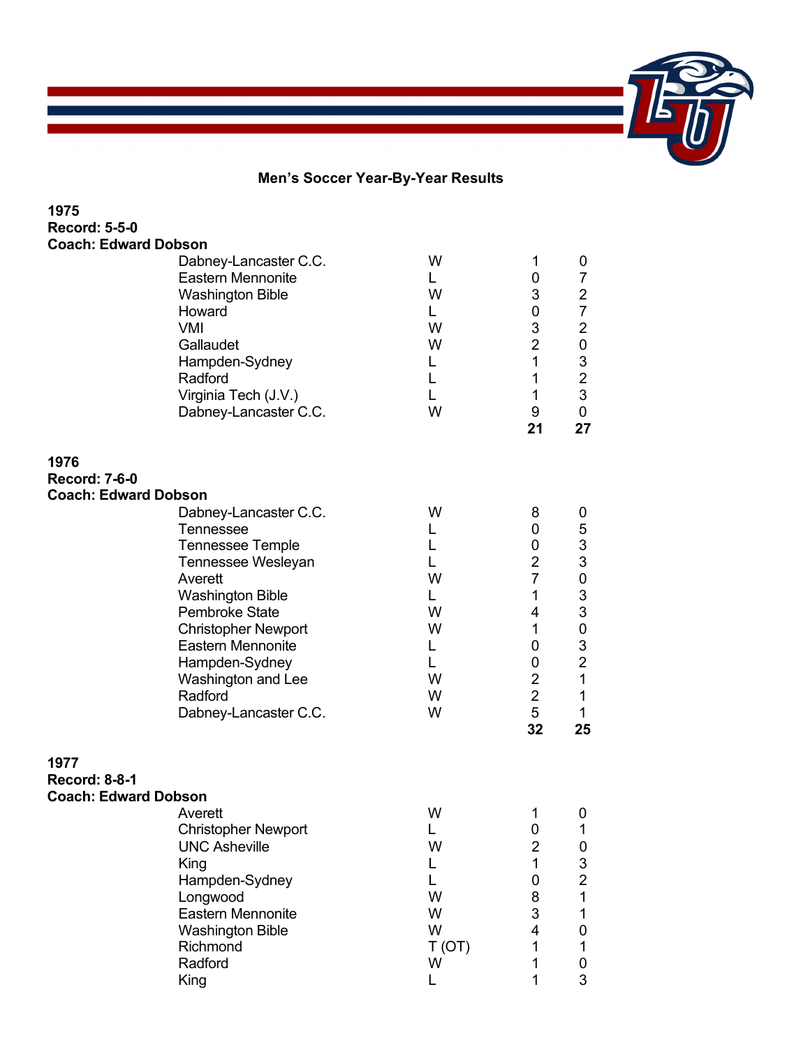## **Men's Soccer Year-By-Year Results**

| 1975                        |                            |       |                |                           |
|-----------------------------|----------------------------|-------|----------------|---------------------------|
| <b>Record: 5-5-0</b>        |                            |       |                |                           |
| <b>Coach: Edward Dobson</b> |                            |       |                |                           |
|                             | Dabney-Lancaster C.C.      | W     | 1              | 0                         |
|                             | <b>Eastern Mennonite</b>   | L.    | 0              | $\overline{7}$            |
|                             | <b>Washington Bible</b>    | W     | 3              | $\overline{c}$            |
|                             | Howard                     | L.    | 0              | $\overline{7}$            |
|                             | <b>VMI</b>                 | W     | 3              | $\mathbf 2$               |
|                             | Gallaudet                  | W     | $\overline{2}$ | $\pmb{0}$                 |
|                             | Hampden-Sydney             | L     | 1              | $\ensuremath{\mathsf{3}}$ |
|                             | Radford                    | L     | $\mathbf{1}$   | $\overline{2}$            |
|                             | Virginia Tech (J.V.)       | L     | $\mathbf{1}$   | 3                         |
|                             | Dabney-Lancaster C.C.      | W     | 9              | 0                         |
|                             |                            |       | 21             | 27                        |
| 1976                        |                            |       |                |                           |
| <b>Record: 7-6-0</b>        |                            |       |                |                           |
| <b>Coach: Edward Dobson</b> |                            |       |                |                           |
|                             | Dabney-Lancaster C.C.      | W     | 8              | 0                         |
|                             | <b>Tennessee</b>           | L     | 0              | 5                         |
|                             | <b>Tennessee Temple</b>    | L     | 0              | $\mathbf{3}$              |
|                             | Tennessee Wesleyan         | L     | $\overline{2}$ | $\ensuremath{\mathsf{3}}$ |
|                             | Averett                    | W     | $\overline{7}$ | 0                         |
|                             | <b>Washington Bible</b>    | L.    | 1              | $\ensuremath{\mathsf{3}}$ |
|                             | <b>Pembroke State</b>      | W     | 4              | 3                         |
|                             | <b>Christopher Newport</b> | W     | $\mathbf 1$    | $\pmb{0}$                 |
|                             | <b>Eastern Mennonite</b>   | L     | 0              | 3                         |
|                             | Hampden-Sydney             | L     | 0              | $\overline{2}$            |
|                             | Washington and Lee         | W     | $\overline{2}$ | $\mathbf{1}$              |
|                             | Radford                    | W     | $\overline{2}$ | $\mathbf{1}$              |
|                             | Dabney-Lancaster C.C.      | W     | 5              | 1                         |
|                             |                            |       | 32             | 25                        |
| 1977                        |                            |       |                |                           |
| <b>Record: 8-8-1</b>        |                            |       |                |                           |
| <b>Coach: Edward Dobson</b> |                            |       |                |                           |
|                             | Averett                    | W     | 1              | 0                         |
|                             | <b>Christopher Newport</b> | L.    | 0              | 1                         |
|                             | <b>UNC Asheville</b>       | W     | $\overline{2}$ | 0                         |
|                             | King                       | L     | $\mathbf{1}$   | 3                         |
|                             | Hampden-Sydney             | L     | 0              | $\overline{2}$            |
|                             | Longwood                   | W     | 8              | $\mathbf{1}$              |
|                             | Eastern Mennonite          | W     | 3              | 1                         |
|                             | <b>Washington Bible</b>    | W     | 4              | 0                         |
|                             | Richmond                   | T(OT) | 1              | 1                         |
|                             | Radford                    | W     | 1              | 0                         |
|                             | King                       | L     | 1              | 3                         |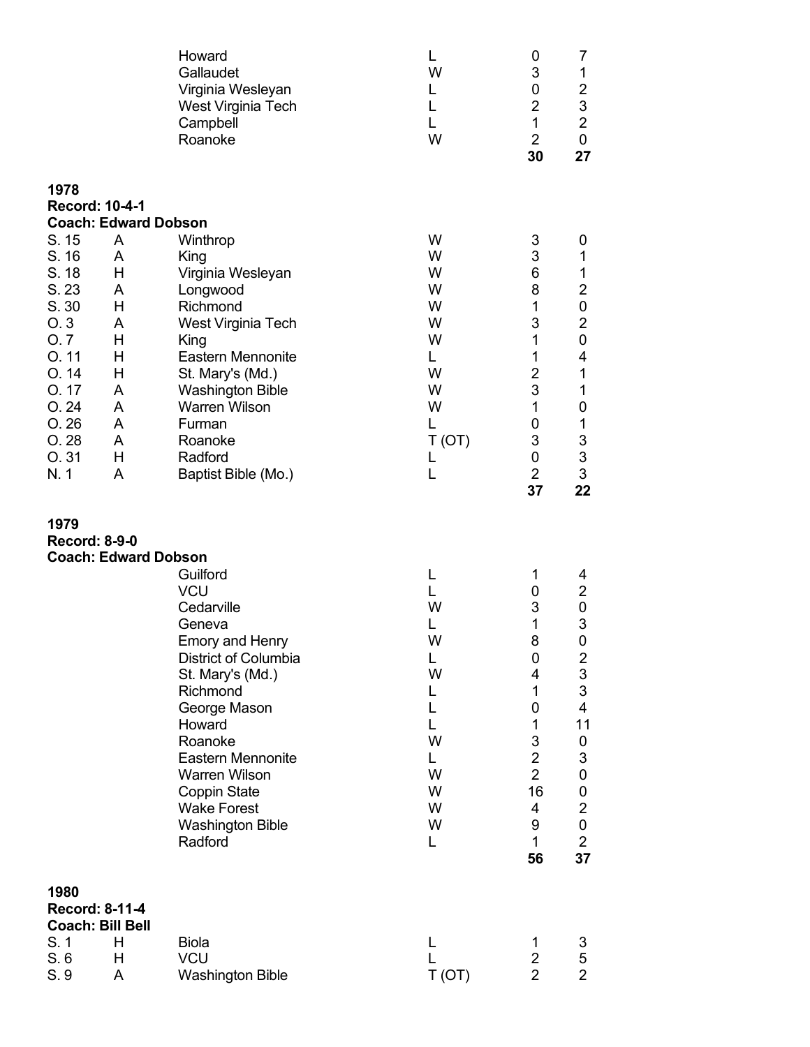|                                                                                                                                                    |                                                                                                        | Howard<br>Gallaudet<br>Virginia Wesleyan<br>West Virginia Tech<br>Campbell<br>Roanoke                                                                                                                                                                                                                 | L<br>W<br>L<br>L<br>L<br>W                                                         | 0<br>3<br>0<br>$\overline{2}$<br>1<br>$\overline{2}$<br>30                                                                   | 7<br>1<br>$\overline{\mathbf{c}}$<br>$\mathsf 3$<br>$\overline{2}$<br>$\pmb{0}$<br>27                                                                                                                                             |
|----------------------------------------------------------------------------------------------------------------------------------------------------|--------------------------------------------------------------------------------------------------------|-------------------------------------------------------------------------------------------------------------------------------------------------------------------------------------------------------------------------------------------------------------------------------------------------------|------------------------------------------------------------------------------------|------------------------------------------------------------------------------------------------------------------------------|-----------------------------------------------------------------------------------------------------------------------------------------------------------------------------------------------------------------------------------|
| 1978<br>Record: 10-4-1<br>S. 15<br>S. 16<br>S. 18<br>S. 23<br>S.30<br>O.3<br>O.7<br>O.11<br>O.14<br>O. 17<br>O.24<br>O.26<br>O. 28<br>O.31<br>N. 1 | <b>Coach: Edward Dobson</b><br>A<br>A<br>Н<br>A<br>Н<br>A<br>Н<br>Н<br>Η<br>A<br>A<br>A<br>A<br>Н<br>A | Winthrop<br>King<br>Virginia Wesleyan<br>Longwood<br>Richmond<br>West Virginia Tech<br>King<br><b>Eastern Mennonite</b><br>St. Mary's (Md.)<br><b>Washington Bible</b><br><b>Warren Wilson</b><br>Furman<br>Roanoke<br>Radford<br>Baptist Bible (Mo.)                                                 | W<br>W<br>W<br>W<br>W<br>W<br>W<br>L.<br>W<br>W<br>W<br>L<br>T(OT)<br>L<br>L       | 3<br>3<br>6<br>8<br>1<br>3<br>1<br>1<br>$\overline{2}$<br>$\mathsf 3$<br>1<br>0<br>3<br>0<br>$\overline{2}$<br>37            | 0<br>1<br>1<br>$\overline{\mathbf{c}}$<br>$\pmb{0}$<br>$\overline{c}$<br>$\boldsymbol{0}$<br>4<br>1<br>1<br>$\pmb{0}$<br>$\mathbf 1$<br>$\ensuremath{\mathsf{3}}$<br>$\mathsf 3$<br>3<br>22                                       |
| 1979<br><b>Record: 8-9-0</b>                                                                                                                       | <b>Coach: Edward Dobson</b>                                                                            | Guilford<br><b>VCU</b><br>Cedarville<br>Geneva<br><b>Emory and Henry</b><br>District of Columbia<br>St. Mary's (Md.)<br>Richmond<br>George Mason<br>Howard<br>Roanoke<br><b>Eastern Mennonite</b><br><b>Warren Wilson</b><br>Coppin State<br><b>Wake Forest</b><br><b>Washington Bible</b><br>Radford | L<br>L<br>W<br>L<br>W<br>L<br>W<br>L<br>L<br>L.<br>W<br>L<br>W<br>W<br>W<br>W<br>L | $\mathbf 1$<br>0<br>3<br>1<br>8<br>0<br>4<br>1<br>0<br>1<br>3<br>$\overline{2}$<br>$\overline{2}$<br>16<br>4<br>9<br>1<br>56 | 4<br>$\overline{2}$<br>$\pmb{0}$<br>3<br>0<br>$\begin{array}{c} 2 \\ 3 \\ 3 \end{array}$<br>$\overline{\mathbf{4}}$<br>11<br>0<br>$\mathfrak{S}$<br>$\pmb{0}$<br>$\pmb{0}$<br>$\overline{c}$<br>$\pmb{0}$<br>$\overline{2}$<br>37 |
| 1980<br>Record: 8-11-4<br>S. 1<br>S.6<br>S. 9                                                                                                      | <b>Coach: Bill Bell</b><br>Н<br>Н<br>A                                                                 | <b>Biola</b><br><b>VCU</b><br><b>Washington Bible</b>                                                                                                                                                                                                                                                 | L<br>L<br>T (OT)                                                                   | 1<br>$\overline{2}$<br>$\overline{2}$                                                                                        | 3<br>5<br>$\overline{2}$                                                                                                                                                                                                          |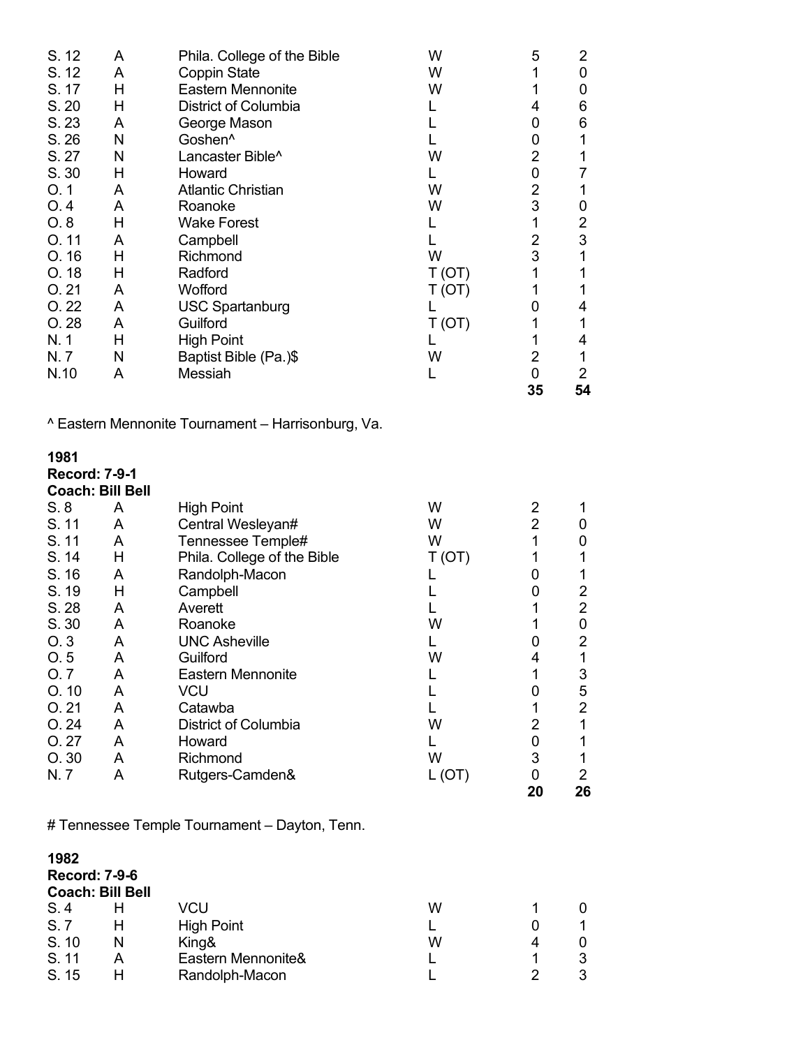| S. 12<br>S. 12<br>S. 17<br>S. 20<br>S. 23<br>S. 26<br>S. 27<br>S. 30<br>O.1<br>O.4<br>O.8<br>O.11<br>O.16<br>O.18<br>O.21<br>O.22<br>O.28<br>N. 1<br>N.7<br>N.10 | A<br>A<br>H<br>Н<br>A<br>N<br>N<br>Н<br>A<br>A<br>H<br>A<br>Н<br>Н<br>A<br>A<br>A<br>Н<br>N<br>A | Phila. College of the Bible<br><b>Coppin State</b><br><b>Eastern Mennonite</b><br><b>District of Columbia</b><br>George Mason<br>Goshen <sup>^</sup><br>Lancaster Bible <sup>^</sup><br>Howard<br><b>Atlantic Christian</b><br>Roanoke<br><b>Wake Forest</b><br>Campbell<br>Richmond<br>Radford<br>Wofford<br><b>USC Spartanburg</b><br>Guilford<br><b>High Point</b><br>Baptist Bible (Pa.)\$<br>Messiah | W<br>W<br>W<br>L<br>L<br>L<br>W<br>L<br>W<br>W<br>L<br>L<br>W<br>T(OT)<br>T (OT)<br>L<br>T(OT)<br>L<br>W<br>L | 5<br>1<br>1<br>4<br>0<br>0<br>$\overline{2}$<br>0<br>$\overline{2}$<br>3<br>1<br>2<br>3<br>1<br>1<br>0<br>1<br>1<br>$\overline{2}$<br>$\mathbf 0$<br>35 | $\overline{2}$<br>$\mathbf 0$<br>0<br>6<br>6<br>1<br>1<br>$\overline{7}$<br>1<br>0<br>$\overline{2}$<br>$\ensuremath{\mathsf{3}}$<br>1<br>1<br>1<br>4<br>1<br>4<br>1<br>$\overline{2}$<br>54 |
|------------------------------------------------------------------------------------------------------------------------------------------------------------------|--------------------------------------------------------------------------------------------------|-----------------------------------------------------------------------------------------------------------------------------------------------------------------------------------------------------------------------------------------------------------------------------------------------------------------------------------------------------------------------------------------------------------|---------------------------------------------------------------------------------------------------------------|---------------------------------------------------------------------------------------------------------------------------------------------------------|----------------------------------------------------------------------------------------------------------------------------------------------------------------------------------------------|
|                                                                                                                                                                  |                                                                                                  | ^ Eastern Mennonite Tournament - Harrisonburg, Va.                                                                                                                                                                                                                                                                                                                                                        |                                                                                                               |                                                                                                                                                         |                                                                                                                                                                                              |
| 1981<br><b>Record: 7-9-1</b><br><b>Coach: Bill Bell</b>                                                                                                          |                                                                                                  |                                                                                                                                                                                                                                                                                                                                                                                                           |                                                                                                               |                                                                                                                                                         |                                                                                                                                                                                              |
| S.8                                                                                                                                                              | A                                                                                                | <b>High Point</b>                                                                                                                                                                                                                                                                                                                                                                                         | W                                                                                                             | 2                                                                                                                                                       | 1                                                                                                                                                                                            |
| S. 11                                                                                                                                                            | A                                                                                                | Central Wesleyan#                                                                                                                                                                                                                                                                                                                                                                                         | W                                                                                                             | $\overline{2}$                                                                                                                                          | $\mathbf 0$                                                                                                                                                                                  |
| S. 11                                                                                                                                                            | A                                                                                                | Tennessee Temple#                                                                                                                                                                                                                                                                                                                                                                                         | W                                                                                                             | 1                                                                                                                                                       | $\boldsymbol{0}$                                                                                                                                                                             |
| S. 14                                                                                                                                                            | H                                                                                                | Phila. College of the Bible                                                                                                                                                                                                                                                                                                                                                                               | T(OT)                                                                                                         | 1                                                                                                                                                       | 1                                                                                                                                                                                            |
| S. 16                                                                                                                                                            | A                                                                                                | Randolph-Macon                                                                                                                                                                                                                                                                                                                                                                                            | L                                                                                                             | 0                                                                                                                                                       | 1                                                                                                                                                                                            |
| S. 19                                                                                                                                                            | H                                                                                                | Campbell                                                                                                                                                                                                                                                                                                                                                                                                  | L                                                                                                             | 0                                                                                                                                                       | $\mathbf 2$                                                                                                                                                                                  |
| S. 28                                                                                                                                                            | A                                                                                                | Averett                                                                                                                                                                                                                                                                                                                                                                                                   | L                                                                                                             | 1                                                                                                                                                       | $\overline{2}$                                                                                                                                                                               |
| S. 30                                                                                                                                                            | A                                                                                                | Roanoke                                                                                                                                                                                                                                                                                                                                                                                                   | W                                                                                                             | 1                                                                                                                                                       | $\pmb{0}$                                                                                                                                                                                    |
| O.3                                                                                                                                                              | A                                                                                                | <b>UNC Asheville</b>                                                                                                                                                                                                                                                                                                                                                                                      | L                                                                                                             | 0                                                                                                                                                       | $\overline{\mathbf{c}}$                                                                                                                                                                      |
| O.5                                                                                                                                                              | A                                                                                                | Guilford                                                                                                                                                                                                                                                                                                                                                                                                  | W                                                                                                             | 4                                                                                                                                                       | 1                                                                                                                                                                                            |
| O. 7                                                                                                                                                             | A                                                                                                | <b>Eastern Mennonite</b>                                                                                                                                                                                                                                                                                                                                                                                  |                                                                                                               | 1                                                                                                                                                       | 3                                                                                                                                                                                            |
| O.10                                                                                                                                                             | A                                                                                                | <b>VCU</b>                                                                                                                                                                                                                                                                                                                                                                                                |                                                                                                               | 0                                                                                                                                                       | 5                                                                                                                                                                                            |
| O.21                                                                                                                                                             | A                                                                                                | Catawba                                                                                                                                                                                                                                                                                                                                                                                                   |                                                                                                               | 1                                                                                                                                                       | $\overline{2}$                                                                                                                                                                               |
| O.24                                                                                                                                                             | A                                                                                                | District of Columbia                                                                                                                                                                                                                                                                                                                                                                                      | W                                                                                                             | 2                                                                                                                                                       | 1                                                                                                                                                                                            |
| O.27                                                                                                                                                             | A                                                                                                | Howard                                                                                                                                                                                                                                                                                                                                                                                                    | L                                                                                                             | 0                                                                                                                                                       | 1                                                                                                                                                                                            |
| O. 30                                                                                                                                                            | A                                                                                                | Richmond                                                                                                                                                                                                                                                                                                                                                                                                  | W                                                                                                             | 3                                                                                                                                                       | 1                                                                                                                                                                                            |
| N.7                                                                                                                                                              | A                                                                                                | Rutgers-Camden&                                                                                                                                                                                                                                                                                                                                                                                           | L (OT)                                                                                                        | 0                                                                                                                                                       | $\overline{2}$                                                                                                                                                                               |
|                                                                                                                                                                  |                                                                                                  |                                                                                                                                                                                                                                                                                                                                                                                                           |                                                                                                               | 20                                                                                                                                                      | 26                                                                                                                                                                                           |

# Tennessee Temple Tournament – Dayton, Tenn.

| 1982<br><b>Record: 7-9-6</b> | <b>Coach: Bill Bell</b> |                    |   |   |   |
|------------------------------|-------------------------|--------------------|---|---|---|
| S.4                          |                         | VCU                | W |   | 0 |
| S.7                          |                         | <b>High Point</b>  |   |   |   |
| S. 10                        | N                       | King&              | W | 4 | 0 |
| S. 11                        | А                       | Eastern Mennonite& |   |   | 3 |
| S. 15                        |                         | Randolph-Macon     |   |   | 3 |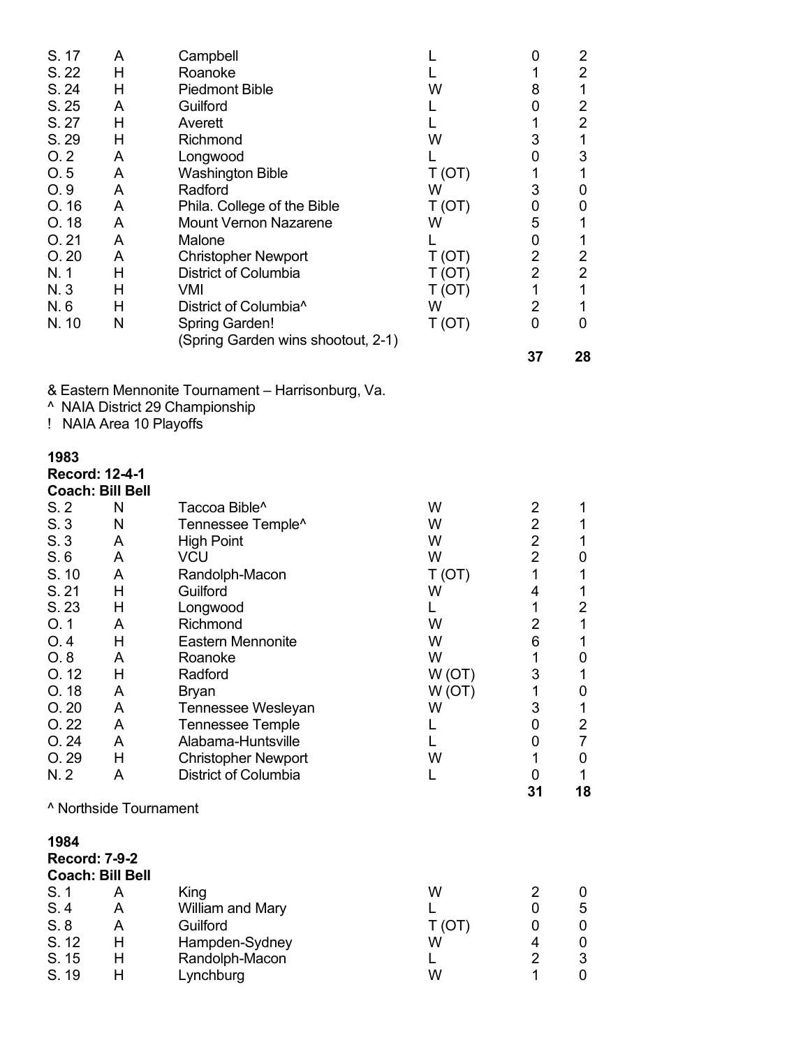| S. 17<br>S. 22<br>S. 24<br>S. 25<br>S. 27<br>S. 29<br>O.2<br>O.5<br>O.9<br>O. 16<br>O. 18<br>O.21<br>O.20<br>N. 1<br>N. 3<br>N.6<br>N. 10 | A<br>Н<br>H<br>A<br>H<br>Н<br>A<br>A<br>A<br>A<br>A<br>A<br>A<br>Н<br>H<br>Н<br>N | Campbell<br>Roanoke<br><b>Piedmont Bible</b><br>Guilford<br>Averett<br>Richmond<br>Longwood<br><b>Washington Bible</b><br>Radford<br>Phila. College of the Bible<br><b>Mount Vernon Nazarene</b><br>Malone<br><b>Christopher Newport</b><br><b>District of Columbia</b><br>VMI<br>District of Columbia <sup>^</sup><br><b>Spring Garden!</b><br>(Spring Garden wins shootout, 2-1) | L<br>L<br>W<br>L<br>L<br>W<br>L<br>T(OT)<br>W<br>T(OT)<br>W<br>L<br>T(OT)<br>T(OT)<br>T(OT)<br>W<br>T(OT) | 0<br>1<br>8<br>0<br>1<br>3<br>0<br>1<br>3<br>$\pmb{0}$<br>5<br>0<br>$\overline{2}$<br>$\overline{2}$<br>1<br>$\overline{2}$<br>0<br>37 | $\overline{2}$<br>$\overline{2}$<br>1<br>$\overline{2}$<br>$\overline{\mathbf{c}}$<br>1<br>3<br>1<br>0<br>0<br>1<br>1<br>$\overline{\mathbf{c}}$<br>$\overline{2}$<br>1<br>1<br>0<br>28 |  |
|-------------------------------------------------------------------------------------------------------------------------------------------|-----------------------------------------------------------------------------------|------------------------------------------------------------------------------------------------------------------------------------------------------------------------------------------------------------------------------------------------------------------------------------------------------------------------------------------------------------------------------------|-----------------------------------------------------------------------------------------------------------|----------------------------------------------------------------------------------------------------------------------------------------|-----------------------------------------------------------------------------------------------------------------------------------------------------------------------------------------|--|
|                                                                                                                                           | ! NAIA Area 10 Playoffs                                                           | & Eastern Mennonite Tournament - Harrisonburg, Va.<br>^ NAIA District 29 Championship                                                                                                                                                                                                                                                                                              |                                                                                                           |                                                                                                                                        |                                                                                                                                                                                         |  |
| 1983<br><b>Record: 12-4-1</b><br><b>Coach: Bill Bell</b>                                                                                  |                                                                                   |                                                                                                                                                                                                                                                                                                                                                                                    |                                                                                                           |                                                                                                                                        |                                                                                                                                                                                         |  |
| S.2                                                                                                                                       | N                                                                                 | Taccoa Bible <sup>^</sup>                                                                                                                                                                                                                                                                                                                                                          | W                                                                                                         | 2                                                                                                                                      | 1                                                                                                                                                                                       |  |
| S.3                                                                                                                                       | N                                                                                 | Tennessee Temple <sup>^</sup>                                                                                                                                                                                                                                                                                                                                                      | W                                                                                                         | $\overline{2}$                                                                                                                         | 1                                                                                                                                                                                       |  |
| S.3                                                                                                                                       | A                                                                                 | <b>High Point</b>                                                                                                                                                                                                                                                                                                                                                                  | W                                                                                                         | $\overline{2}$                                                                                                                         | 1                                                                                                                                                                                       |  |
| S.6                                                                                                                                       | A                                                                                 | <b>VCU</b>                                                                                                                                                                                                                                                                                                                                                                         | W                                                                                                         | $\overline{2}$                                                                                                                         | 0                                                                                                                                                                                       |  |
| S. 10                                                                                                                                     | A                                                                                 | Randolph-Macon                                                                                                                                                                                                                                                                                                                                                                     | T(OT)                                                                                                     | 1                                                                                                                                      | 1                                                                                                                                                                                       |  |
| S. 21                                                                                                                                     | H                                                                                 | Guilford                                                                                                                                                                                                                                                                                                                                                                           | W                                                                                                         | 4                                                                                                                                      | 1                                                                                                                                                                                       |  |
| S. 23                                                                                                                                     | Н                                                                                 | Longwood                                                                                                                                                                                                                                                                                                                                                                           | L                                                                                                         | 1                                                                                                                                      | $\overline{c}$                                                                                                                                                                          |  |
| O.1                                                                                                                                       | A                                                                                 | Richmond                                                                                                                                                                                                                                                                                                                                                                           | W                                                                                                         | $\overline{2}$                                                                                                                         | 1                                                                                                                                                                                       |  |
| O.4                                                                                                                                       | H                                                                                 | <b>Eastern Mennonite</b>                                                                                                                                                                                                                                                                                                                                                           | W                                                                                                         | 6                                                                                                                                      | 1                                                                                                                                                                                       |  |
| O.8                                                                                                                                       | A                                                                                 | Roanoke                                                                                                                                                                                                                                                                                                                                                                            | W                                                                                                         | 1                                                                                                                                      | 0                                                                                                                                                                                       |  |
| O.12                                                                                                                                      | H                                                                                 | Radford                                                                                                                                                                                                                                                                                                                                                                            | W(OT)                                                                                                     | 3                                                                                                                                      | 1                                                                                                                                                                                       |  |
| O. 18                                                                                                                                     | A                                                                                 | Bryan                                                                                                                                                                                                                                                                                                                                                                              | W(OT)                                                                                                     | 1                                                                                                                                      | $\pmb{0}$                                                                                                                                                                               |  |
| O.20                                                                                                                                      | A                                                                                 | Tennessee Wesleyan                                                                                                                                                                                                                                                                                                                                                                 | W                                                                                                         | 3                                                                                                                                      | 1                                                                                                                                                                                       |  |
| O.22                                                                                                                                      | A                                                                                 | <b>Tennessee Temple</b>                                                                                                                                                                                                                                                                                                                                                            | L                                                                                                         | 0                                                                                                                                      | $\overline{2}$                                                                                                                                                                          |  |
| O.24                                                                                                                                      | A                                                                                 | Alabama-Huntsville                                                                                                                                                                                                                                                                                                                                                                 | L                                                                                                         | 0                                                                                                                                      | $\overline{7}$                                                                                                                                                                          |  |
| O. 29                                                                                                                                     | H                                                                                 | <b>Christopher Newport</b>                                                                                                                                                                                                                                                                                                                                                         | W                                                                                                         | 1                                                                                                                                      | $\pmb{0}$                                                                                                                                                                               |  |
| N. 2                                                                                                                                      | A                                                                                 | District of Columbia                                                                                                                                                                                                                                                                                                                                                               | L                                                                                                         | 0<br>31                                                                                                                                | $\mathbf{1}$<br>18                                                                                                                                                                      |  |
|                                                                                                                                           | <sup>^</sup> Northside Tournament                                                 |                                                                                                                                                                                                                                                                                                                                                                                    |                                                                                                           |                                                                                                                                        |                                                                                                                                                                                         |  |
| 1984                                                                                                                                      |                                                                                   |                                                                                                                                                                                                                                                                                                                                                                                    |                                                                                                           |                                                                                                                                        |                                                                                                                                                                                         |  |
| <b>Record: 7-9-2</b>                                                                                                                      |                                                                                   |                                                                                                                                                                                                                                                                                                                                                                                    |                                                                                                           |                                                                                                                                        |                                                                                                                                                                                         |  |
| <b>Coach: Bill Bell</b>                                                                                                                   |                                                                                   |                                                                                                                                                                                                                                                                                                                                                                                    |                                                                                                           |                                                                                                                                        |                                                                                                                                                                                         |  |
| S. 1                                                                                                                                      | A                                                                                 | King                                                                                                                                                                                                                                                                                                                                                                               | W                                                                                                         | 2                                                                                                                                      | 0                                                                                                                                                                                       |  |
| S.4                                                                                                                                       | A                                                                                 | William and Mary                                                                                                                                                                                                                                                                                                                                                                   | L                                                                                                         | $\pmb{0}$                                                                                                                              | 5                                                                                                                                                                                       |  |
| S.8                                                                                                                                       | A                                                                                 | Guilford                                                                                                                                                                                                                                                                                                                                                                           | T(OT)                                                                                                     | 0                                                                                                                                      | 0                                                                                                                                                                                       |  |
| S. 12                                                                                                                                     | Н                                                                                 | Hampden-Sydney                                                                                                                                                                                                                                                                                                                                                                     | W                                                                                                         | 4                                                                                                                                      | $\pmb{0}$                                                                                                                                                                               |  |
| S. 15                                                                                                                                     | Н                                                                                 | Randolph-Macon                                                                                                                                                                                                                                                                                                                                                                     | Г                                                                                                         | $\overline{2}$                                                                                                                         | 3                                                                                                                                                                                       |  |
| S. 19                                                                                                                                     | Н                                                                                 | Lynchburg                                                                                                                                                                                                                                                                                                                                                                          | W                                                                                                         | $\mathbf{1}$                                                                                                                           | 0                                                                                                                                                                                       |  |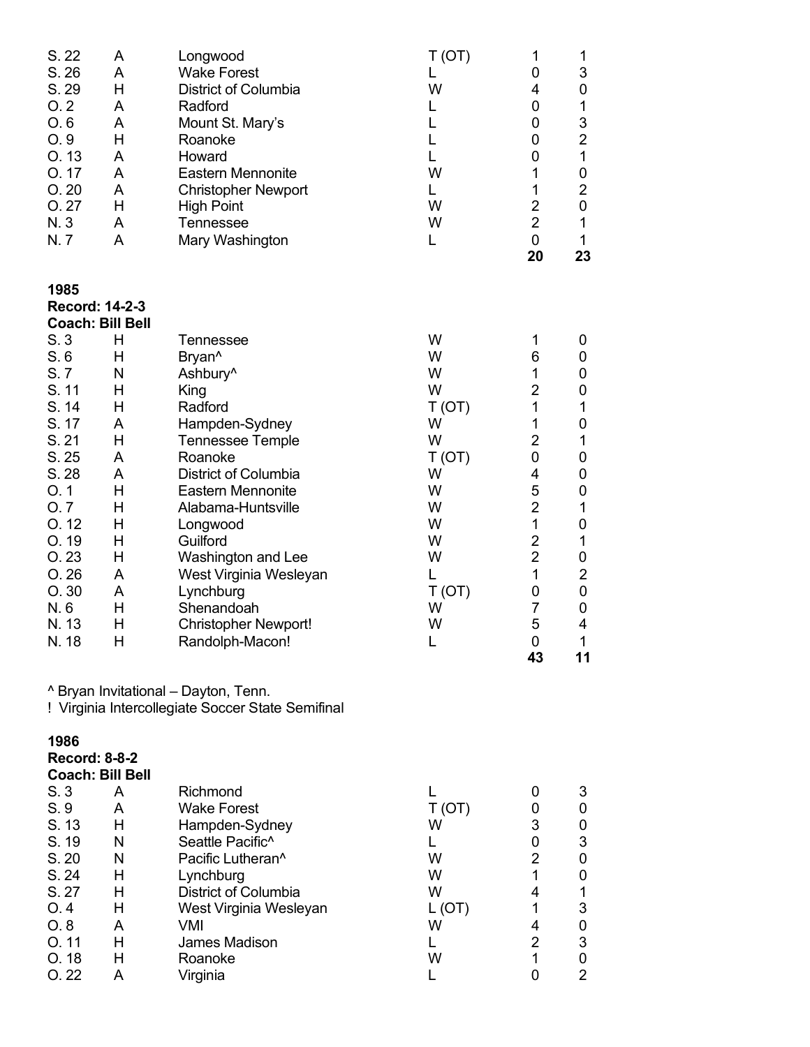| A<br>A<br>Н<br>A<br>A<br>H<br>A<br>A<br>A<br>H<br>A<br>A | Longwood<br><b>Wake Forest</b><br>District of Columbia<br>Radford<br>Mount St. Mary's<br>Roanoke<br>Howard<br><b>Eastern Mennonite</b><br><b>Christopher Newport</b><br><b>High Point</b><br><b>Tennessee</b><br>Mary Washington | T(OT)<br>L<br>W<br>L<br>L<br>L<br>L<br>W<br>L<br>W<br>W<br>L                                                                                                                                                                                                                                                                                                                                                                                                      | 1<br>0<br>4<br>0<br>0<br>0<br>0<br>1<br>1<br>$\overline{2}$<br>$\overline{2}$<br>0<br>20          | 1<br>3<br>0<br>$\mathbf 1$<br>3<br>$\overline{\mathbf{c}}$<br>$\mathbf 1$<br>$\pmb{0}$<br>$\boldsymbol{2}$<br>$\boldsymbol{0}$<br>$\mathbf 1$<br>1<br>23 |
|----------------------------------------------------------|----------------------------------------------------------------------------------------------------------------------------------------------------------------------------------------------------------------------------------|-------------------------------------------------------------------------------------------------------------------------------------------------------------------------------------------------------------------------------------------------------------------------------------------------------------------------------------------------------------------------------------------------------------------------------------------------------------------|---------------------------------------------------------------------------------------------------|----------------------------------------------------------------------------------------------------------------------------------------------------------|
| <b>Record: 14-2-3</b>                                    |                                                                                                                                                                                                                                  |                                                                                                                                                                                                                                                                                                                                                                                                                                                                   |                                                                                                   |                                                                                                                                                          |
|                                                          | Tennessee                                                                                                                                                                                                                        |                                                                                                                                                                                                                                                                                                                                                                                                                                                                   |                                                                                                   | 0                                                                                                                                                        |
| Н                                                        | Bryan^                                                                                                                                                                                                                           | W                                                                                                                                                                                                                                                                                                                                                                                                                                                                 | 6                                                                                                 | 0                                                                                                                                                        |
| N                                                        | Ashbury <sup>^</sup>                                                                                                                                                                                                             |                                                                                                                                                                                                                                                                                                                                                                                                                                                                   | 1                                                                                                 | 0                                                                                                                                                        |
|                                                          |                                                                                                                                                                                                                                  |                                                                                                                                                                                                                                                                                                                                                                                                                                                                   |                                                                                                   | 0<br>$\mathbf 1$                                                                                                                                         |
| A                                                        |                                                                                                                                                                                                                                  | W                                                                                                                                                                                                                                                                                                                                                                                                                                                                 | 1                                                                                                 | 0                                                                                                                                                        |
| H                                                        | <b>Tennessee Temple</b>                                                                                                                                                                                                          | W                                                                                                                                                                                                                                                                                                                                                                                                                                                                 | $\overline{2}$                                                                                    | $\mathbf 1$                                                                                                                                              |
| A                                                        | Roanoke                                                                                                                                                                                                                          |                                                                                                                                                                                                                                                                                                                                                                                                                                                                   |                                                                                                   | 0                                                                                                                                                        |
|                                                          |                                                                                                                                                                                                                                  |                                                                                                                                                                                                                                                                                                                                                                                                                                                                   |                                                                                                   | 0<br>0                                                                                                                                                   |
|                                                          |                                                                                                                                                                                                                                  |                                                                                                                                                                                                                                                                                                                                                                                                                                                                   |                                                                                                   | $\mathbf 1$                                                                                                                                              |
| H                                                        | Longwood                                                                                                                                                                                                                         | W                                                                                                                                                                                                                                                                                                                                                                                                                                                                 | 1                                                                                                 | 0                                                                                                                                                        |
| Н                                                        | Guilford                                                                                                                                                                                                                         | W                                                                                                                                                                                                                                                                                                                                                                                                                                                                 | $\overline{2}$                                                                                    | $\mathbf 1$                                                                                                                                              |
|                                                          |                                                                                                                                                                                                                                  |                                                                                                                                                                                                                                                                                                                                                                                                                                                                   |                                                                                                   | $\boldsymbol{0}$                                                                                                                                         |
|                                                          |                                                                                                                                                                                                                                  |                                                                                                                                                                                                                                                                                                                                                                                                                                                                   |                                                                                                   | $\boldsymbol{2}$<br>$\pmb{0}$                                                                                                                            |
|                                                          |                                                                                                                                                                                                                                  |                                                                                                                                                                                                                                                                                                                                                                                                                                                                   | 7                                                                                                 | 0                                                                                                                                                        |
| Н                                                        | <b>Christopher Newport!</b>                                                                                                                                                                                                      | W                                                                                                                                                                                                                                                                                                                                                                                                                                                                 | 5                                                                                                 | 4                                                                                                                                                        |
| H                                                        |                                                                                                                                                                                                                                  | L                                                                                                                                                                                                                                                                                                                                                                                                                                                                 | 43                                                                                                | $\mathbf 1$<br>11                                                                                                                                        |
|                                                          |                                                                                                                                                                                                                                  |                                                                                                                                                                                                                                                                                                                                                                                                                                                                   |                                                                                                   |                                                                                                                                                          |
|                                                          |                                                                                                                                                                                                                                  |                                                                                                                                                                                                                                                                                                                                                                                                                                                                   |                                                                                                   |                                                                                                                                                          |
| <b>Coach: Bill Bell</b>                                  |                                                                                                                                                                                                                                  |                                                                                                                                                                                                                                                                                                                                                                                                                                                                   |                                                                                                   |                                                                                                                                                          |
| A                                                        | Richmond                                                                                                                                                                                                                         | L                                                                                                                                                                                                                                                                                                                                                                                                                                                                 | 0                                                                                                 | 3                                                                                                                                                        |
| A                                                        |                                                                                                                                                                                                                                  | T(OT)                                                                                                                                                                                                                                                                                                                                                                                                                                                             | 0                                                                                                 | 0                                                                                                                                                        |
|                                                          |                                                                                                                                                                                                                                  |                                                                                                                                                                                                                                                                                                                                                                                                                                                                   |                                                                                                   | 0<br>3                                                                                                                                                   |
|                                                          |                                                                                                                                                                                                                                  | W                                                                                                                                                                                                                                                                                                                                                                                                                                                                 |                                                                                                   | $\pmb{0}$                                                                                                                                                |
| Н                                                        | Lynchburg                                                                                                                                                                                                                        | W                                                                                                                                                                                                                                                                                                                                                                                                                                                                 | 1                                                                                                 | 0                                                                                                                                                        |
| Н                                                        | District of Columbia                                                                                                                                                                                                             | W                                                                                                                                                                                                                                                                                                                                                                                                                                                                 | 4                                                                                                 | $\mathbf 1$                                                                                                                                              |
|                                                          |                                                                                                                                                                                                                                  |                                                                                                                                                                                                                                                                                                                                                                                                                                                                   |                                                                                                   | $\ensuremath{\mathsf{3}}$<br>0                                                                                                                           |
|                                                          |                                                                                                                                                                                                                                  |                                                                                                                                                                                                                                                                                                                                                                                                                                                                   |                                                                                                   | $\ensuremath{\mathsf{3}}$                                                                                                                                |
| H                                                        | Roanoke                                                                                                                                                                                                                          | W                                                                                                                                                                                                                                                                                                                                                                                                                                                                 | $\mathbf{1}$                                                                                      | $\boldsymbol{0}$                                                                                                                                         |
| A                                                        | Virginia                                                                                                                                                                                                                         | L                                                                                                                                                                                                                                                                                                                                                                                                                                                                 | 0                                                                                                 | $\overline{2}$                                                                                                                                           |
|                                                          | <b>Coach: Bill Bell</b><br>Н<br>H<br>H<br>A<br>H<br>H<br>H<br>A<br>A<br>Н<br><b>Record: 8-8-2</b><br>H<br>N<br>N<br>Н<br>A<br>Н                                                                                                  | King<br>Radford<br>Hampden-Sydney<br>District of Columbia<br><b>Eastern Mennonite</b><br>Alabama-Huntsville<br>Washington and Lee<br>West Virginia Wesleyan<br>Lynchburg<br>Shenandoah<br>Randolph-Macon!<br>^ Bryan Invitational - Dayton, Tenn.<br>! Virginia Intercollegiate Soccer State Semifinal<br><b>Wake Forest</b><br>Hampden-Sydney<br>Seattle Pacific <sup>^</sup><br>Pacific Lutheran <sup>^</sup><br>West Virginia Wesleyan<br>VMI<br>James Madison | W<br>W<br>W<br>T(OT)<br>T(OT)<br>W<br>W<br>W<br>W<br>L<br>T(OT)<br>W<br>W<br>L<br>L(OT)<br>W<br>L | 1<br>2<br>1<br>$\mathbf 0$<br>4<br>5<br>$\overline{2}$<br>$\overline{2}$<br>1<br>0<br>$\mathbf 0$<br>3<br>0<br>2<br>1<br>4<br>$\overline{2}$             |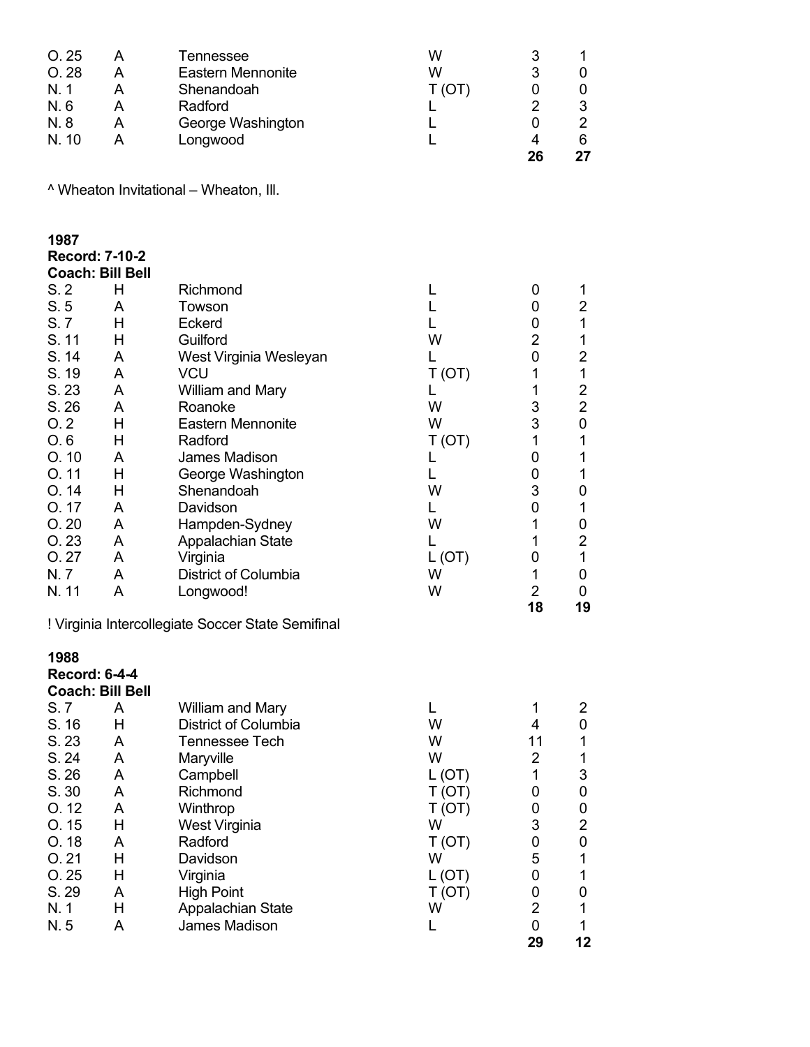| O.25<br>O.28<br>N.1<br>N.6<br>N. 8<br>N. 10 | A<br>A<br>A<br>A<br>A<br>A                            | Tennessee<br><b>Eastern Mennonite</b><br>Shenandoah<br>Radford<br>George Washington<br>Longwood | W<br>W<br>T(OT)<br>L<br>L<br>L | 3<br>3<br>0<br>$\overline{2}$<br>0<br>4<br>26 | 1<br>0<br>0<br>3<br>$\overline{2}$<br>6<br>27 |
|---------------------------------------------|-------------------------------------------------------|-------------------------------------------------------------------------------------------------|--------------------------------|-----------------------------------------------|-----------------------------------------------|
|                                             |                                                       | ^ Wheaton Invitational - Wheaton, Ill.                                                          |                                |                                               |                                               |
| 1987<br>S.2                                 | <b>Record: 7-10-2</b><br><b>Coach: Bill Bell</b><br>н | Richmond                                                                                        | L                              | 0                                             | 1                                             |
| S.5                                         | A                                                     | Towson                                                                                          | L                              | 0                                             | 2                                             |
| S.7                                         | Н                                                     | Eckerd                                                                                          | L                              | 0                                             | 1                                             |
| S. 11                                       | H                                                     | Guilford                                                                                        | W                              | $\overline{2}$                                | 1                                             |
| S. 14                                       | A                                                     | West Virginia Wesleyan                                                                          | L                              | $\mathbf 0$                                   | $\overline{2}$                                |
| S. 19                                       | A                                                     | <b>VCU</b>                                                                                      | T(OT)                          | 1<br>1                                        | 1                                             |
| S. 23<br>S. 26                              | A<br>A                                                | William and Mary<br>Roanoke                                                                     | L<br>W                         | 3                                             | $\overline{c}$<br>$\overline{2}$              |
| O.2                                         | H                                                     | <b>Eastern Mennonite</b>                                                                        | W                              | 3                                             | 0                                             |
| O.6                                         | H                                                     | Radford                                                                                         | T(OT)                          | 1                                             | 1                                             |
| O.10                                        | A                                                     | James Madison                                                                                   | L                              | $\mathbf 0$                                   | 1                                             |
| O.11                                        | Н                                                     | George Washington                                                                               | L                              | $\mathbf 0$                                   | 1                                             |
| O.14                                        | H                                                     | Shenandoah                                                                                      | W                              | 3                                             | 0                                             |
| O. 17<br>O.20                               | A<br>A                                                | Davidson<br>Hampden-Sydney                                                                      | L<br>W                         | 0<br>1                                        | 1<br>0                                        |
| O.23                                        | A                                                     | Appalachian State                                                                               | L                              | 1                                             | $\overline{2}$                                |
| O.27                                        | A                                                     | Virginia                                                                                        | L(OT)                          | 0                                             | 1                                             |
| N.7                                         | A                                                     | <b>District of Columbia</b>                                                                     | W                              | 1                                             | 0                                             |
| N. 11                                       | A                                                     | Longwood!                                                                                       | W                              | $\overline{2}$                                | 0                                             |
|                                             |                                                       | ! Virginia Intercollegiate Soccer State Semifinal                                               |                                | 18                                            | 19                                            |
| 1988<br><b>Record: 6-4-4</b>                | <b>Coach: Bill Bell</b>                               |                                                                                                 |                                |                                               |                                               |
| S.7<br>S. 16                                | A<br>H                                                | William and Mary<br><b>District of Columbia</b>                                                 | L<br>W                         | 1<br>4                                        | 2<br>0                                        |
| S. 23                                       | A                                                     | Tennessee Tech                                                                                  | W                              | 11                                            | 1                                             |
| S. 24                                       | A                                                     | Maryville                                                                                       | W                              | $\overline{2}$                                | 1                                             |
| S. 26                                       | A                                                     | Campbell                                                                                        | L(OT)                          | $\mathbf{1}$                                  | 3                                             |
| S.30                                        | A                                                     | Richmond                                                                                        | T(OT)                          | 0                                             | 0                                             |
| O.12                                        | A                                                     | Winthrop                                                                                        | T(OT)                          | 0                                             | 0                                             |
| O.15<br>O.18                                | Н<br>A                                                | West Virginia<br>Radford                                                                        | W                              | 3<br>0                                        | $\overline{2}$<br>0                           |
| O.21                                        | H                                                     | Davidson                                                                                        | T(OT)<br>W                     | 5                                             | 1                                             |
| O.25                                        | Н                                                     | Virginia                                                                                        | L(OT)                          | 0                                             | 1                                             |
| S. 29                                       | A                                                     | <b>High Point</b>                                                                               | T(OT)                          | 0                                             | 0                                             |
| N. 1                                        | Н                                                     | Appalachian State                                                                               | W                              | $\overline{2}$                                | 1                                             |
| N.5                                         | A                                                     | James Madison                                                                                   | L                              | 0                                             | 1                                             |
|                                             |                                                       |                                                                                                 |                                | 29                                            | 12                                            |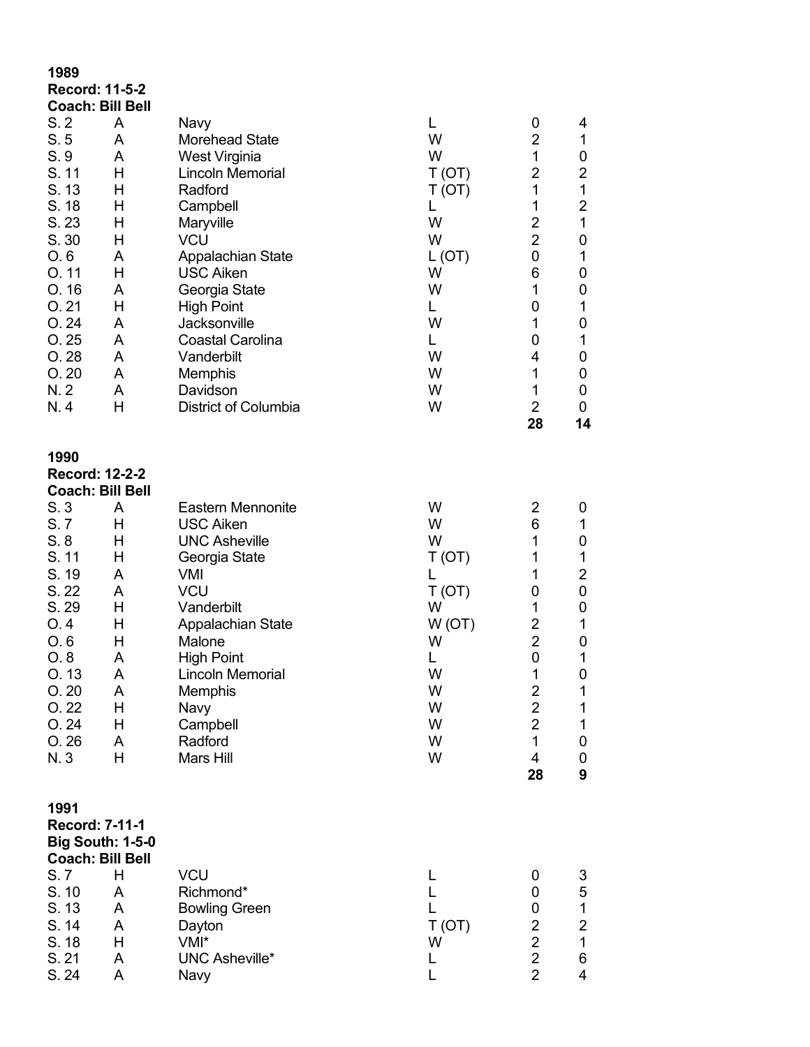| 1989<br><b>Record: 11-5-2</b><br><b>Coach: Bill Bell</b>                                                                                   |                                                                                        |                                                                                                                                                                                                                                                                                                                           |                                                                                                    |                                                                                                                                                  |                                                                                                                                                           |
|--------------------------------------------------------------------------------------------------------------------------------------------|----------------------------------------------------------------------------------------|---------------------------------------------------------------------------------------------------------------------------------------------------------------------------------------------------------------------------------------------------------------------------------------------------------------------------|----------------------------------------------------------------------------------------------------|--------------------------------------------------------------------------------------------------------------------------------------------------|-----------------------------------------------------------------------------------------------------------------------------------------------------------|
| S.2<br>S.5<br>S.9<br>S. 11<br>S. 13<br>S. 18<br>S.23<br>S. 30<br>O.6<br>O.11<br>O.16<br>O.21<br>O.24<br>O.25<br>O.28<br>O.20<br>N.2<br>N.4 | A<br>A<br>A<br>H<br>H<br>H<br>H<br>Н<br>A<br>H<br>A<br>H<br>A<br>A<br>A<br>A<br>A<br>H | Navy<br><b>Morehead State</b><br>West Virginia<br><b>Lincoln Memorial</b><br>Radford<br>Campbell<br>Maryville<br><b>VCU</b><br>Appalachian State<br><b>USC Aiken</b><br>Georgia State<br><b>High Point</b><br>Jacksonville<br><b>Coastal Carolina</b><br>Vanderbilt<br>Memphis<br>Davidson<br><b>District of Columbia</b> | L<br>W<br>W<br>T(OT)<br>T(OT)<br>L<br>W<br>W<br>L(OT)<br>W<br>W<br>L<br>W<br>L<br>W<br>W<br>W<br>W | 0<br>$\overline{2}$<br>1<br>2<br>1<br>1<br>$\overline{2}$<br>$\overline{2}$<br>0<br>6<br>1<br>0<br>1<br>0<br>4<br>1<br>1<br>$\overline{2}$<br>28 | 4<br>$\mathbf 1$<br>0<br>$\overline{2}$<br>$\mathbf 1$<br>$\overline{2}$<br>1<br>0<br>1<br>0<br>0<br>1<br>0<br>1<br>0<br>$\boldsymbol{0}$<br>0<br>0<br>14 |
| 1990<br><b>Record: 12-2-2</b><br><b>Coach: Bill Bell</b>                                                                                   |                                                                                        |                                                                                                                                                                                                                                                                                                                           |                                                                                                    |                                                                                                                                                  |                                                                                                                                                           |
| S.3<br>S.7<br>S.8<br>S. 11<br>S. 19<br>S. 22<br>S. 29<br>O.4<br>O.6<br>O.8<br>O. 13<br>O.20<br>O.22<br>O.24<br>O.26<br>N. 3                | A<br>H<br>H<br>H<br>A<br>A<br>H<br>H<br>Н<br>A<br>A<br>A<br>H<br>H<br>A<br>Η           | <b>Eastern Mennonite</b><br><b>USC Aiken</b><br><b>UNC Asheville</b><br>Georgia State<br>VMI<br><b>VCU</b><br>Vanderbilt<br>Appalachian State<br>Malone<br><b>High Point</b><br>Lincoln Memorial<br>Memphis<br>Navy<br>Campbell<br>Radford<br>Mars Hill                                                                   | W<br>W<br>W<br>T(OT)<br>L<br>T(OT)<br>W<br>W(OT)<br>W<br>L<br>W<br>W<br>W<br>W<br>W<br>W           | 2<br>6<br>1<br>1<br>1<br>0<br>1<br>2<br>$\overline{2}$<br>0<br>1<br>2<br>$\overline{2}$<br>$\overline{2}$<br>$\mathbf{1}$<br>4<br>28             | 0<br>1<br>0<br>1<br>$\overline{2}$<br>0<br>0<br>1<br>0<br>$\mathbf 1$<br>0<br>$\mathbf{1}$<br>$\mathbf 1$<br>$\mathbf{1}$<br>0<br>0<br>9                  |
| 1991<br>Record: 7-11-1<br><b>Big South: 1-5-0</b><br><b>Coach: Bill Bell</b><br>S.7                                                        | H                                                                                      | <b>VCU</b>                                                                                                                                                                                                                                                                                                                | L                                                                                                  | 0                                                                                                                                                | 3                                                                                                                                                         |
| S. 10<br>S. 13<br>S. 14<br>S. 18<br>S. 21<br>S. 24                                                                                         | A<br>A<br>A<br>H<br>A<br>A                                                             | Richmond*<br><b>Bowling Green</b><br>Dayton<br>VMI*<br><b>UNC Asheville*</b><br>Navy                                                                                                                                                                                                                                      | L<br>L<br>T (OT)<br>W<br>L<br>L                                                                    | 0<br>0<br>$\overline{2}$<br>$\overline{c}$<br>$\overline{2}$<br>$\overline{2}$                                                                   | 5<br>$\mathbf{1}$<br>$\overline{2}$<br>$\mathbf 1$<br>6<br>4                                                                                              |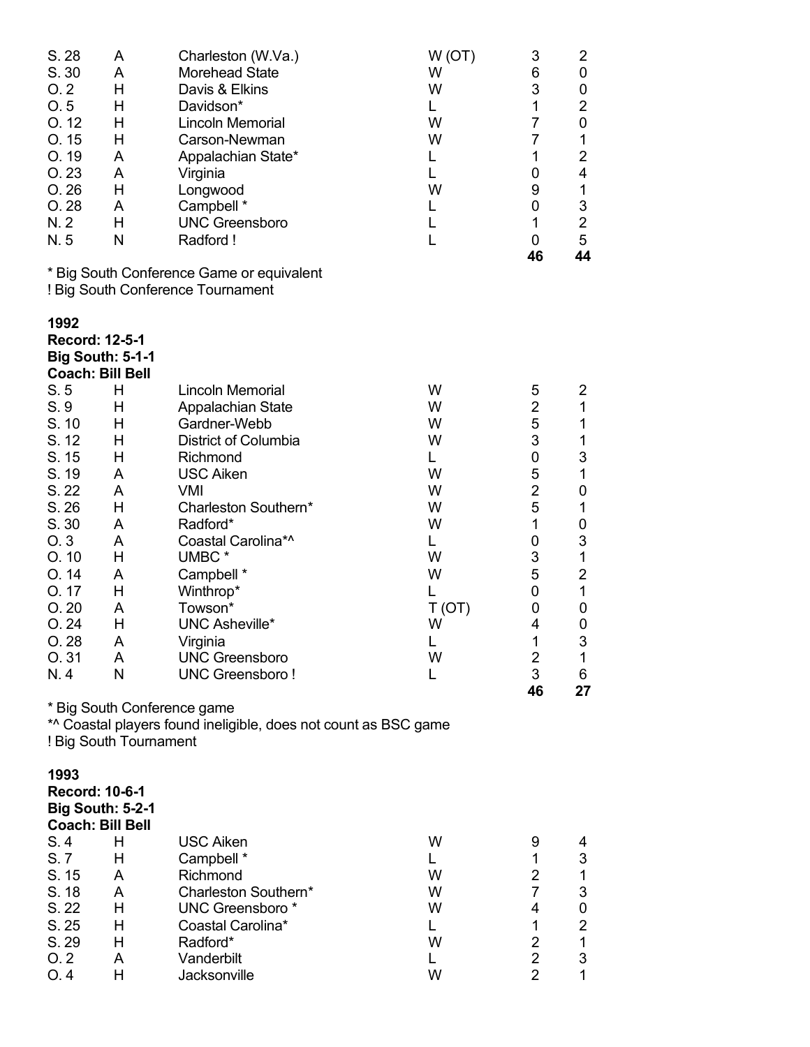| S. 28<br>S. 30<br>O.2<br>O.5<br>O.12<br>O.15<br>O. 19<br>O.23<br>O.26<br>O.28<br>N.2<br>N.5 | A<br>A<br>Н<br>н<br>Н<br>Н<br>A<br>A<br>H<br>A<br>H<br>N | Charleston (W.Va.)<br><b>Morehead State</b><br>Davis & Elkins<br>Davidson*<br><b>Lincoln Memorial</b><br>Carson-Newman<br>Appalachian State*<br>Virginia<br>Longwood<br>Campbell *<br><b>UNC Greensboro</b><br>Radford! | W(OT)<br>W<br>W<br>Г<br>W<br>W<br>L<br>L<br>W<br>L<br>L<br>L | 3<br>6<br>3<br>1<br>$\overline{7}$<br>$\overline{7}$<br>1<br>0<br>9<br>0<br>1<br>0<br>46 | 2<br>0<br>0<br>$\overline{\mathbf{c}}$<br>$\pmb{0}$<br>$\mathbf 1$<br>$\overline{2}$<br>4<br>$\mathbf 1$<br>3<br>$\overline{c}$<br>5<br>44 |
|---------------------------------------------------------------------------------------------|----------------------------------------------------------|-------------------------------------------------------------------------------------------------------------------------------------------------------------------------------------------------------------------------|--------------------------------------------------------------|------------------------------------------------------------------------------------------|--------------------------------------------------------------------------------------------------------------------------------------------|
|                                                                                             |                                                          | * Big South Conference Game or equivalent<br>! Big South Conference Tournament                                                                                                                                          |                                                              |                                                                                          |                                                                                                                                            |
| 1992<br><b>Record: 12-5-1</b>                                                               | <b>Big South: 5-1-1</b><br><b>Coach: Bill Bell</b>       |                                                                                                                                                                                                                         |                                                              |                                                                                          |                                                                                                                                            |
| S.5                                                                                         | Н                                                        | <b>Lincoln Memorial</b>                                                                                                                                                                                                 | W                                                            | 5                                                                                        | 2                                                                                                                                          |
| S.9                                                                                         | н                                                        | Appalachian State                                                                                                                                                                                                       | W                                                            | $\overline{2}$                                                                           | $\mathbf{1}$                                                                                                                               |
| S. 10<br>S. 12                                                                              | Н<br>Н                                                   | Gardner-Webb<br>District of Columbia                                                                                                                                                                                    | W<br>W                                                       | 5<br>3                                                                                   | 1<br>$\mathbf 1$                                                                                                                           |
| S. 15                                                                                       | Н                                                        | Richmond                                                                                                                                                                                                                | L                                                            | 0                                                                                        | $\ensuremath{\mathsf{3}}$                                                                                                                  |
| S. 19                                                                                       | A                                                        | <b>USC Aiken</b>                                                                                                                                                                                                        | W                                                            | 5                                                                                        | $\mathbf{1}$                                                                                                                               |
| S. 22                                                                                       | A                                                        | <b>VMI</b>                                                                                                                                                                                                              | W                                                            | $\overline{2}$                                                                           | 0                                                                                                                                          |
| S.26                                                                                        | H                                                        | Charleston Southern*                                                                                                                                                                                                    | W                                                            | 5                                                                                        | $\mathbf 1$                                                                                                                                |
| S.30                                                                                        | A                                                        | Radford*                                                                                                                                                                                                                | W                                                            | 1                                                                                        | 0                                                                                                                                          |
| O.3                                                                                         | A                                                        | Coastal Carolina*^                                                                                                                                                                                                      | L                                                            | 0                                                                                        | 3                                                                                                                                          |
| O.10                                                                                        | Н                                                        | UMBC <sup>*</sup>                                                                                                                                                                                                       | W                                                            | 3                                                                                        | $\mathbf 1$                                                                                                                                |
| O.14                                                                                        | A                                                        | Campbell *                                                                                                                                                                                                              | W                                                            | 5                                                                                        | $\boldsymbol{2}$                                                                                                                           |
| O. 17                                                                                       | Н                                                        | Winthrop*                                                                                                                                                                                                               | L                                                            | 0                                                                                        | $\mathbf{1}$                                                                                                                               |
| O.20                                                                                        | A                                                        | Towson*                                                                                                                                                                                                                 | T(OT)                                                        | 0                                                                                        | 0                                                                                                                                          |
| O.24                                                                                        | Η                                                        | <b>UNC Asheville*</b>                                                                                                                                                                                                   | W                                                            | 4                                                                                        | 0                                                                                                                                          |
| O.28                                                                                        | A                                                        | Virginia                                                                                                                                                                                                                | L                                                            | 1                                                                                        | 3                                                                                                                                          |
| O.31                                                                                        | A                                                        | <b>UNC Greensboro</b>                                                                                                                                                                                                   | W                                                            | 2                                                                                        | 1                                                                                                                                          |
| N.4                                                                                         | N                                                        | <b>UNC Greensboro!</b>                                                                                                                                                                                                  | L                                                            | 3                                                                                        | 6                                                                                                                                          |
|                                                                                             | ! Big South Tournament                                   | * Big South Conference game<br>*^ Coastal players found ineligible, does not count as BSC game                                                                                                                          |                                                              | 46                                                                                       | 27                                                                                                                                         |
| 1993<br><b>Record: 10-6-1</b>                                                               | <b>Big South: 5-2-1</b><br><b>Coach: Bill Bell</b>       |                                                                                                                                                                                                                         |                                                              |                                                                                          |                                                                                                                                            |
| S.4                                                                                         | H                                                        | <b>USC Aiken</b>                                                                                                                                                                                                        | W                                                            | 9                                                                                        | 4                                                                                                                                          |
| S.7                                                                                         | H                                                        | Campbell *                                                                                                                                                                                                              | L.                                                           | 1                                                                                        | 3                                                                                                                                          |
| S. 15                                                                                       | A                                                        | Richmond                                                                                                                                                                                                                | W                                                            | 2<br>$\overline{7}$                                                                      | $\mathbf 1$                                                                                                                                |
| S. 18<br>S. 22                                                                              | A                                                        | Charleston Southern*                                                                                                                                                                                                    | W                                                            |                                                                                          | 3                                                                                                                                          |
| S. 25                                                                                       | H<br>Н                                                   | UNC Greensboro*<br>Coastal Carolina*                                                                                                                                                                                    | W<br>L.                                                      | 4<br>1                                                                                   | $\pmb{0}$<br>$\overline{2}$                                                                                                                |
| S. 29                                                                                       | н                                                        | Radford*                                                                                                                                                                                                                | W                                                            | $\overline{2}$                                                                           | $\mathbf{1}$                                                                                                                               |
| O.2                                                                                         | A                                                        | Vanderbilt                                                                                                                                                                                                              | L                                                            | $\overline{2}$                                                                           | 3                                                                                                                                          |
| O.4                                                                                         | H                                                        | Jacksonville                                                                                                                                                                                                            | W                                                            | $\overline{2}$                                                                           | 1                                                                                                                                          |
|                                                                                             |                                                          |                                                                                                                                                                                                                         |                                                              |                                                                                          |                                                                                                                                            |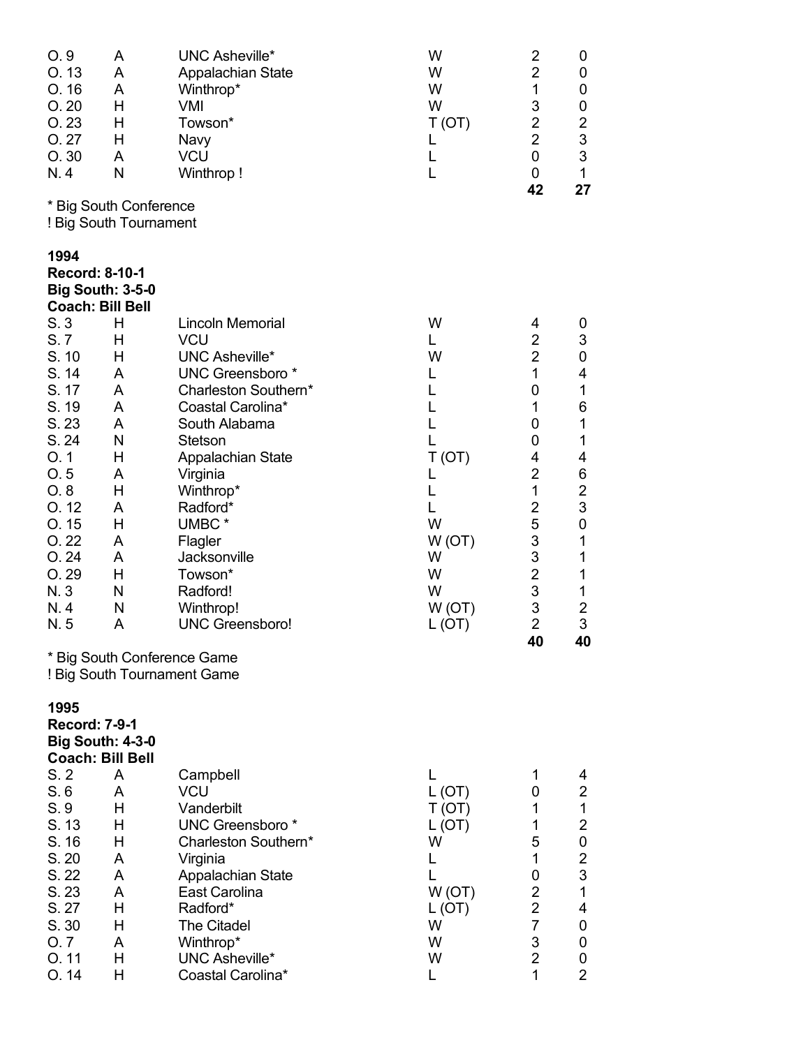| O.9<br>O.13<br>O.16<br>O.20<br>O.23<br>O.27<br>O.30<br>N.4                                                                                   | A<br>A<br>A<br>Н<br>H<br>H<br>A<br>N                                                   | <b>UNC Asheville*</b><br>Appalachian State<br>Winthrop*<br><b>VMI</b><br>Towson*<br>Navy<br><b>VCU</b><br>Winthrop!                                                                                                                                                                                        | W<br>W<br>W<br>W<br>T(OT)<br>L<br>L<br>L                                                          | 2<br>$\overline{2}$<br>1<br>3<br>$\overline{\mathbf{c}}$<br>$\overline{2}$<br>$\mathbf 0$<br>0                                                                             | 0<br>0<br>0<br>$\boldsymbol{0}$<br>$\begin{array}{c} 2 \\ 3 \\ 3 \end{array}$<br>$\mathbf 1$                                                                                                                                             |
|----------------------------------------------------------------------------------------------------------------------------------------------|----------------------------------------------------------------------------------------|------------------------------------------------------------------------------------------------------------------------------------------------------------------------------------------------------------------------------------------------------------------------------------------------------------|---------------------------------------------------------------------------------------------------|----------------------------------------------------------------------------------------------------------------------------------------------------------------------------|------------------------------------------------------------------------------------------------------------------------------------------------------------------------------------------------------------------------------------------|
|                                                                                                                                              | * Big South Conference<br>! Big South Tournament                                       |                                                                                                                                                                                                                                                                                                            |                                                                                                   | 42                                                                                                                                                                         | 27                                                                                                                                                                                                                                       |
| 1994<br>Record: 8-10-1<br>S.3                                                                                                                | <b>Big South: 3-5-0</b><br><b>Coach: Bill Bell</b><br>H                                | <b>Lincoln Memorial</b>                                                                                                                                                                                                                                                                                    | W                                                                                                 | 4                                                                                                                                                                          | 0                                                                                                                                                                                                                                        |
| S.7<br>S. 10<br>S. 14<br>S. 17<br>S. 19<br>S.23<br>S. 24<br>O.1<br>O.5<br>O.8<br>O.12<br>O.15<br>O.22<br>O.24<br>O. 29<br>N. 3<br>N.4<br>N.5 | H<br>H<br>A<br>A<br>A<br>A<br>N<br>H<br>A<br>Η<br>A<br>Η<br>A<br>A<br>Н<br>N<br>N<br>A | <b>VCU</b><br><b>UNC Asheville*</b><br><b>UNC Greensboro</b> *<br>Charleston Southern*<br>Coastal Carolina*<br>South Alabama<br><b>Stetson</b><br>Appalachian State<br>Virginia<br>Winthrop*<br>Radford*<br>UMBC*<br>Flagler<br>Jacksonville<br>Towson*<br>Radford!<br>Winthrop!<br><b>UNC Greensboro!</b> | L<br>W<br>L<br>L<br>L<br>L<br>T(OT)<br>L<br>L<br>L<br>W<br>W(OT)<br>W<br>W<br>W<br>W(OT)<br>L(OT) | $\overline{2}$<br>$\overline{2}$<br>1<br>0<br>1<br>0<br>0<br>4<br>$\overline{2}$<br>1<br>$\overline{c}$<br>5<br>3<br>3<br>$\overline{2}$<br>3<br>3<br>$\overline{2}$<br>40 | $\mathfrak{S}$<br>$\pmb{0}$<br>4<br>$\mathbf 1$<br>6<br>$\mathbf 1$<br>$\mathbf 1$<br>4<br>$\,6$<br>$\overline{c}$<br>3<br>$\mathbf 0$<br>$\mathbf 1$<br>$\mathbf 1$<br>$\mathbf 1$<br>$\mathbf 1$<br>$\overline{\mathbf{c}}$<br>3<br>40 |
|                                                                                                                                              |                                                                                        | * Big South Conference Game<br>! Big South Tournament Game                                                                                                                                                                                                                                                 |                                                                                                   |                                                                                                                                                                            |                                                                                                                                                                                                                                          |
| 1995<br><b>Record: 7-9-1</b>                                                                                                                 | <b>Big South: 4-3-0</b><br><b>Coach: Bill Bell</b>                                     |                                                                                                                                                                                                                                                                                                            |                                                                                                   |                                                                                                                                                                            |                                                                                                                                                                                                                                          |
| S.2<br>S.6<br>S.9<br>S. 13<br>S. 16<br>S. 20<br>S. 22<br>S. 23<br>S. 27<br>S. 30<br>O.7<br>O.11<br>O.14                                      | A<br>A<br>H<br>н<br>H<br>A<br>A<br>A<br>Н<br>H<br>A<br>H<br>H                          | Campbell<br><b>VCU</b><br>Vanderbilt<br><b>UNC Greensboro</b> *<br>Charleston Southern*<br>Virginia<br>Appalachian State<br>East Carolina<br>Radford*<br><b>The Citadel</b><br>Winthrop*<br><b>UNC Asheville*</b><br>Coastal Carolina*                                                                     | L<br>L(OT)<br>T(OT)<br>L (OT)<br>W<br>L<br>L<br>W(OT)<br>L (OT)<br>W<br>W<br>W<br>L               | 1<br>0<br>1<br>1<br>5<br>1<br>0<br>$\overline{2}$<br>$\overline{2}$<br>$\overline{7}$<br>3<br>$\overline{2}$<br>1                                                          | 4<br>$\overline{\mathbf{c}}$<br>$\mathbf 1$<br>$\overline{\mathbf{c}}$<br>$\mathbf{0}$<br>$\begin{array}{c} 2 \\ 3 \\ 1 \end{array}$<br>4<br>$\pmb{0}$<br>$\pmb{0}$<br>$\pmb{0}$<br>$\overline{2}$                                       |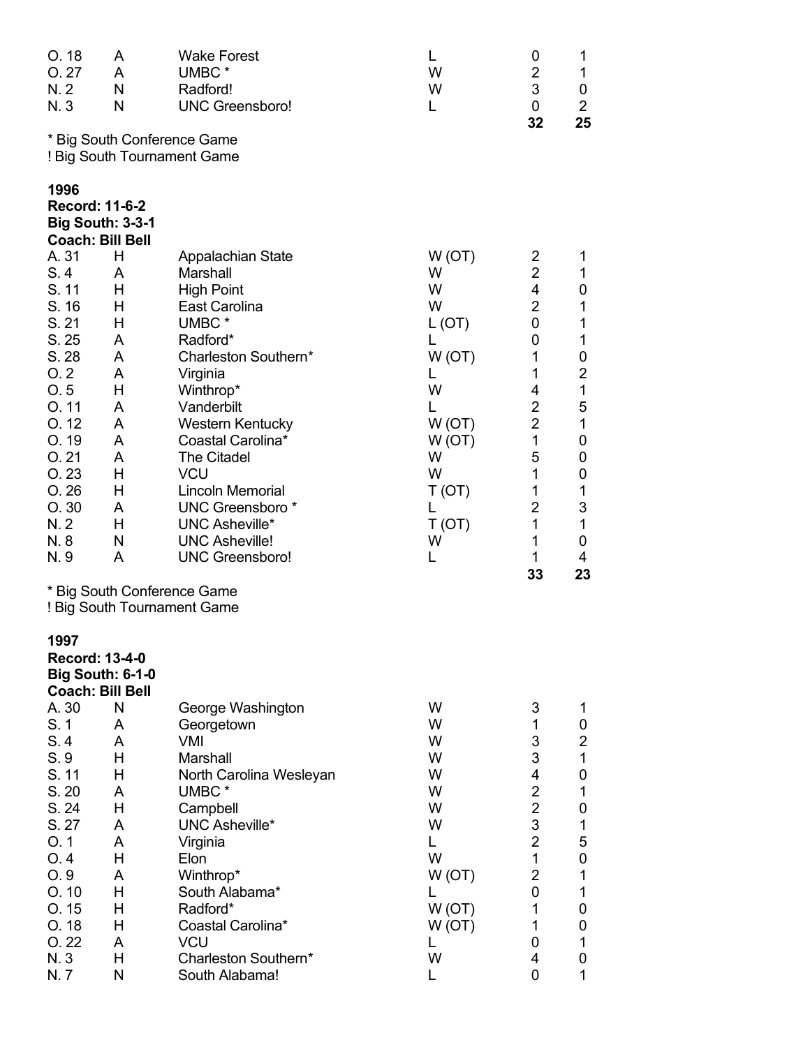| O.18<br>O.27<br>N. 2<br>N. 3  | A<br>A<br>N<br>N                                   | <b>Wake Forest</b><br>UMBC <sup>*</sup><br>Radford!<br><b>UNC Greensboro!</b> | L<br>W<br>W<br>L | 0<br>2<br>3<br>0    | 1<br>1<br>0<br>$\overline{2}$  |
|-------------------------------|----------------------------------------------------|-------------------------------------------------------------------------------|------------------|---------------------|--------------------------------|
|                               |                                                    | * Big South Conference Game<br>! Big South Tournament Game                    |                  | 32                  | 25                             |
| 1996<br><b>Record: 11-6-2</b> | <b>Big South: 3-3-1</b><br><b>Coach: Bill Bell</b> |                                                                               |                  |                     |                                |
| A. 31                         | H                                                  | Appalachian State                                                             | W(OT)            | 2                   | 1                              |
| S.4                           | A                                                  | <b>Marshall</b>                                                               | W                | $\overline{2}$      | 1                              |
| S. 11                         | Н                                                  | <b>High Point</b>                                                             | W                | 4                   | 0                              |
| S. 16                         | н                                                  | East Carolina                                                                 | W                | $\overline{2}$      | 1                              |
| S. 21<br>S.25                 | Н                                                  | UMBC <sup>*</sup><br>Radford*                                                 | L (OT)<br>L      | 0<br>0              | 1<br>1                         |
| S. 28                         | A<br>A                                             | Charleston Southern*                                                          | W(OT)            | 1                   | 0                              |
| O.2                           | A                                                  | Virginia                                                                      | L                | 1                   | $\overline{2}$                 |
| O.5                           | Н                                                  | Winthrop*                                                                     | W                | 4                   | 1                              |
| O.11                          | A                                                  | Vanderbilt                                                                    | L                | 2                   | 5                              |
| O.12                          | A                                                  | <b>Western Kentucky</b>                                                       | W(OT)            | $\overline{2}$      | 1                              |
| O. 19                         | A                                                  | Coastal Carolina*                                                             | W(OT)            | $\mathbf{1}$        | 0                              |
| O.21                          | A                                                  | <b>The Citadel</b>                                                            | W                | 5                   | 0                              |
| O.23                          | Н                                                  | <b>VCU</b>                                                                    | W                | $\mathbf{1}$        | 0                              |
| O.26                          | Н                                                  | <b>Lincoln Memorial</b>                                                       | T(OT)            | 1                   | 1                              |
| O.30<br>N. 2                  | A<br>Н                                             | UNC Greensboro*<br><b>UNC Asheville*</b>                                      | L                | $\overline{2}$<br>1 | $\ensuremath{\mathsf{3}}$<br>1 |
| N.8                           | N                                                  | <b>UNC Asheville!</b>                                                         | T (OT)<br>W      | 1                   | 0                              |
| N.9                           | A                                                  | <b>UNC Greensboro!</b>                                                        | L                | 1                   | 4                              |
|                               |                                                    |                                                                               |                  | 33                  | 23                             |
|                               |                                                    | * Big South Conference Game                                                   |                  |                     |                                |
|                               |                                                    | ! Big South Tournament Game                                                   |                  |                     |                                |
| 1997<br><b>Record: 13-4-0</b> | <b>Big South: 6-1-0</b><br><b>Coach: Bill Bell</b> |                                                                               |                  |                     |                                |
| A. 30                         | N                                                  | George Washington                                                             | W                | 3                   | 1                              |
| S. 1                          | A                                                  | Georgetown                                                                    | W                | 1                   | 0                              |
| S.4                           | A                                                  | <b>VMI</b>                                                                    | W                | 3                   | $\overline{2}$                 |
| S.9                           | Н                                                  | Marshall                                                                      | W                | 3                   | $\mathbf{1}$                   |
| S. 11<br>S.20                 | Н<br>A                                             | North Carolina Wesleyan<br>UMBC*                                              | W<br>W           | 4<br>$\overline{2}$ | 0<br>1                         |
| S. 24                         | н                                                  | Campbell                                                                      | W                | $\overline{2}$      | 0                              |
| S. 27                         | A                                                  | <b>UNC Asheville*</b>                                                         | W                | 3                   | 1                              |
| O.1                           | A                                                  | Virginia                                                                      | L                | $\overline{2}$      | 5                              |
| O.4                           | Н                                                  | Elon                                                                          | W                | 1                   | 0                              |
| O.9                           | A                                                  | Winthrop*                                                                     | W(OT)            | 2                   | 1                              |
| O.10                          | Н                                                  | South Alabama*                                                                | L                | 0                   | 1                              |
| O.15                          | Η                                                  | Radford*                                                                      | W(OT)            | 1                   | 0                              |
| O. 18                         | Η                                                  | Coastal Carolina*                                                             | W(OT)            | 1                   | 0                              |
| O.22                          | A                                                  | <b>VCU</b>                                                                    | L                | 0                   | 1                              |
| N. 3                          | Н                                                  | Charleston Southern*                                                          | W                | 4                   | 0                              |
| N.7                           | N                                                  | South Alabama!                                                                | L                | 0                   | 1                              |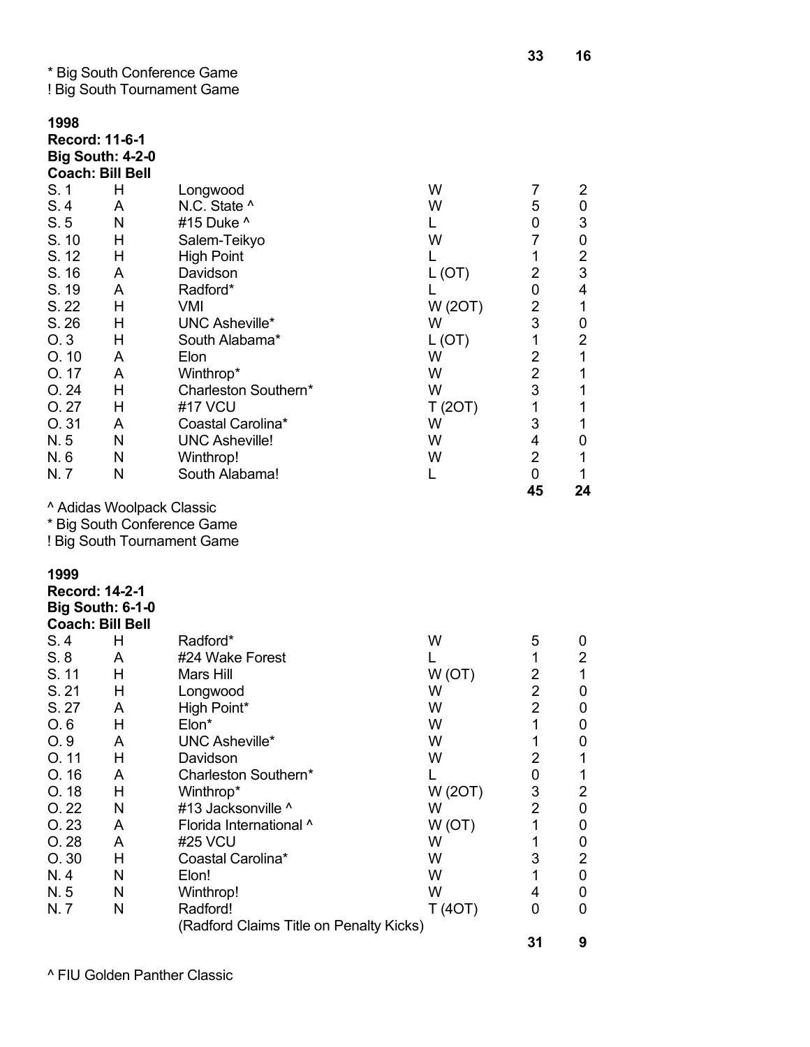\* Big South Conference Game

|  | ! Big South Tournament Game |  |
|--|-----------------------------|--|
|--|-----------------------------|--|

| 1998<br>Record: 11-6-1<br><b>Big South: 4-2-0</b><br><b>Coach: Bill Bell</b><br>S.1<br>S.4<br>S.5<br>S. 10<br>S. 12<br>S. 16<br>S. 19<br>S. 22<br>S. 26<br>O.3<br>O.10<br>O.17<br>O.24<br>O.27<br>O.31<br>N.5<br>N.6<br>N.7 | H<br>A<br>N<br>н<br>H<br>A<br>A<br>Н<br>Н<br>Н<br>A<br>A<br>Н<br>H<br>A<br>N<br>N<br>N | Longwood<br>N.C. State ^<br>#15 Duke ^<br>Salem-Teikyo<br><b>High Point</b><br>Davidson<br>Radford*<br><b>VMI</b><br><b>UNC Asheville*</b><br>South Alabama*<br>Elon<br>Winthrop*<br>Charleston Southern*<br>#17 VCU<br>Coastal Carolina*<br><b>UNC Asheville!</b><br>Winthrop!<br>South Alabama!                    | W<br>W<br>L<br>W<br>L<br>L(OT)<br>L<br>W (20T)<br>W<br>L(OT)<br>W<br>W<br>W<br>T(2OT)<br>W<br>W<br>W<br>L | $\overline{7}$<br>5<br>0<br>$\overline{7}$<br>1<br>$\overline{2}$<br>0<br>$\overline{2}$<br>3<br>1<br>$\overline{2}$<br>$\overline{2}$<br>3<br>1<br>3<br>4<br>$\overline{2}$<br>0 | 2<br>0<br>$\ensuremath{\mathsf{3}}$<br>${\bf 0}$<br>$\frac{2}{3}$<br>4<br>$\mathbf 1$<br>0<br>$\overline{\mathbf{c}}$<br>$\mathbf 1$<br>$\mathbf 1$<br>$\mathbf{1}$<br>1<br>$\mathbf 1$<br>0<br>1<br>1 |
|-----------------------------------------------------------------------------------------------------------------------------------------------------------------------------------------------------------------------------|----------------------------------------------------------------------------------------|----------------------------------------------------------------------------------------------------------------------------------------------------------------------------------------------------------------------------------------------------------------------------------------------------------------------|-----------------------------------------------------------------------------------------------------------|-----------------------------------------------------------------------------------------------------------------------------------------------------------------------------------|--------------------------------------------------------------------------------------------------------------------------------------------------------------------------------------------------------|
|                                                                                                                                                                                                                             | ^ Adidas Woolpack Classic                                                              | * Big South Conference Game<br>! Big South Tournament Game                                                                                                                                                                                                                                                           |                                                                                                           | 45                                                                                                                                                                                | 24                                                                                                                                                                                                     |
| 1999<br><b>Record: 14-2-1</b><br><b>Big South: 6-1-0</b><br><b>Coach: Bill Bell</b><br>S.4<br>S.8<br>S. 11<br>S.21<br>S. 27<br>O.6<br>O.9<br>O.11<br>O.16<br>O.18<br>O.22<br>O.23<br>O.28<br>O.30<br>N.4<br>N.5<br>N. 7     | H<br>A<br>н<br>Н<br>А<br>Н<br>A<br>н<br>A<br>н<br>N<br>A<br>A<br>н<br>N<br>N<br>N      | Radford*<br>#24 Wake Forest<br>Mars Hill<br>Longwood<br>High Point*<br>Elon*<br><b>UNC Asheville*</b><br>Davidson<br>Charleston Southern*<br>Winthrop*<br>#13 Jacksonville ^<br>Florida International ^<br>#25 VCU<br>Coastal Carolina*<br>Elon!<br>Winthrop!<br>Radford!<br>(Radford Claims Title on Penalty Kicks) | W<br>L<br>W(OT)<br>W<br>W<br>W<br>W<br>W<br>L<br>W (20T)<br>W<br>W(OT)<br>W<br>W<br>W<br>W<br>T(4OT)      | 5<br>1<br>$\overline{2}$<br>$\overline{2}$<br>2<br>1<br>1<br>$\overline{2}$<br>0<br>3<br>$\overline{2}$<br>1<br>1<br>3<br>1<br>4<br>0                                             | 0<br>$\overline{c}$<br>$\mathbf 1$<br>0<br>0<br>0<br>0<br>1<br>1<br>$\overline{\mathbf{c}}$<br>0<br>0<br>0<br>$\overline{\mathbf{c}}$<br>$\pmb{0}$<br>0<br>0                                           |
|                                                                                                                                                                                                                             |                                                                                        |                                                                                                                                                                                                                                                                                                                      |                                                                                                           | 31                                                                                                                                                                                | 9                                                                                                                                                                                                      |

^ FIU Golden Panther Classic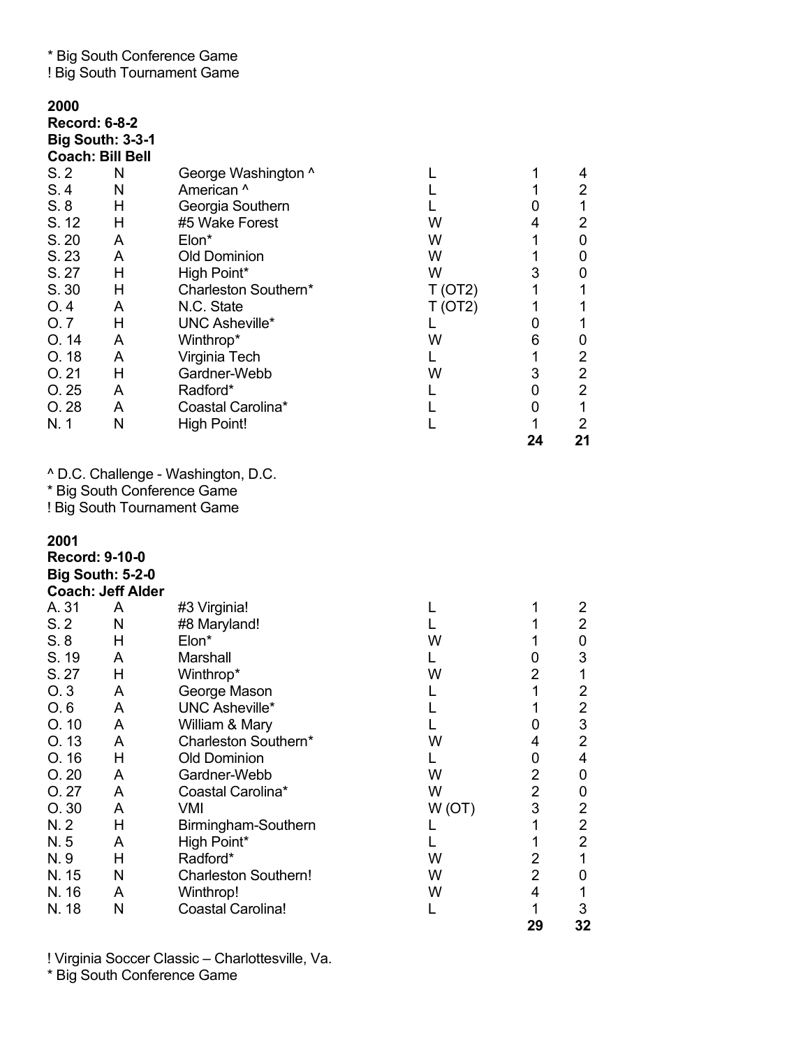\* Big South Conference Game

! Big South Tournament Game

| 2000<br><b>Record: 6-8-2</b> | <b>Big South: 3-3-1</b><br><b>Coach: Bill Bell</b>  |                                                            |         |                     |                                           |
|------------------------------|-----------------------------------------------------|------------------------------------------------------------|---------|---------------------|-------------------------------------------|
| S.2                          | N                                                   | George Washington ^                                        | L       | 1                   | 4                                         |
| S.4                          | N                                                   | American ^                                                 | L       | 1                   | $\overline{c}$                            |
| S.8                          | Н                                                   | Georgia Southern                                           | L       | 0                   | $\mathbf 1$                               |
| S. 12                        | Н                                                   | #5 Wake Forest                                             | W       | 4                   | $\overline{2}$                            |
| S. 20                        | A                                                   | Elon*                                                      | W       | 1                   | 0                                         |
| S. 23<br>S. 27               | A<br>Н                                              | <b>Old Dominion</b><br>High Point*                         | W<br>W  | 1<br>3              | 0<br>0                                    |
| S. 30                        | Н                                                   | Charleston Southern*                                       | T (OT2) | 1                   | 1                                         |
| O.4                          | A                                                   | N.C. State                                                 | T (OT2) | 1                   | 1                                         |
| O.7                          | Н                                                   | UNC Asheville*                                             | L       | 0                   | 1                                         |
| O.14                         | A                                                   | Winthrop*                                                  | W       | 6                   | 0                                         |
| O.18                         | A                                                   | Virginia Tech                                              | L       | 1                   | $\overline{2}$                            |
| O.21                         | Н                                                   | Gardner-Webb                                               | W       | 3                   | $\boldsymbol{2}$                          |
| O.25                         | A                                                   | Radford*                                                   | L       | 0                   | $\overline{2}$                            |
| O.28                         | A                                                   | Coastal Carolina*                                          | L       | 0                   | $\mathbf{1}$                              |
| N. 1                         | N                                                   | <b>High Point!</b>                                         | L       | $\mathbf{1}$<br>24  | $\overline{2}$<br>21                      |
| 2001                         |                                                     | * Big South Conference Game<br>! Big South Tournament Game |         |                     |                                           |
| <b>Record: 9-10-0</b>        | <b>Big South: 5-2-0</b><br><b>Coach: Jeff Alder</b> |                                                            |         |                     |                                           |
| A. 31                        | A                                                   | #3 Virginia!                                               | L       | 1                   | 2                                         |
| S.2                          | N                                                   | #8 Maryland!                                               | L       | 1                   | $\overline{2}$                            |
| S.8                          | Н                                                   | Elon*                                                      | W       | 1                   | 0                                         |
| S. 19                        | A                                                   | Marshall                                                   | L       | 0                   | 3                                         |
| S. 27<br>O.3                 | Н<br>A                                              | Winthrop*                                                  | W<br>L  | $\overline{2}$<br>1 | 1<br>2                                    |
| O.6                          | A                                                   | George Mason<br><b>UNC Asheville*</b>                      | L       | 1                   | $\overline{c}$                            |
| O.10                         | A                                                   | William & Mary                                             | L       | 0                   | $\mathbf{3}$                              |
| O. 13                        | A                                                   | Charleston Southern*                                       | W       | 4                   | $\overline{2}$                            |
| O.16                         | H                                                   | <b>Old Dominion</b>                                        | L.      | 0                   | $\overline{4}$                            |
| O.20                         | A                                                   | Gardner-Webb                                               | W       | 2                   | 0                                         |
| O.27                         | A                                                   | Coastal Carolina*                                          | W       | $\overline{2}$      | 0                                         |
| O.30                         | A                                                   | <b>VMI</b>                                                 | W(OT)   | 3                   | $\overline{\mathbf{c}}$                   |
| N. 2                         | Н                                                   | Birmingham-Southern                                        | L       | 1                   | $\overline{\mathbf{c}}$<br>$\overline{2}$ |
| N.5<br>N.9                   | A<br>Н                                              | High Point*<br>Radford*                                    | L<br>W  | 1<br>$\overline{2}$ | $\mathbf{1}$                              |
| N. 15                        | N                                                   | <b>Charleston Southern!</b>                                | W       | $\overline{2}$      | 0                                         |
| N. 16                        | A                                                   | Winthrop!                                                  | W       | 4                   | $\mathbf{1}$                              |
| N. 18                        | N                                                   | <b>Coastal Carolina!</b>                                   | L       | 1                   | 3                                         |
|                              |                                                     |                                                            |         | 29                  | 32                                        |

! Virginia Soccer Classic – Charlottesville, Va.

\* Big South Conference Game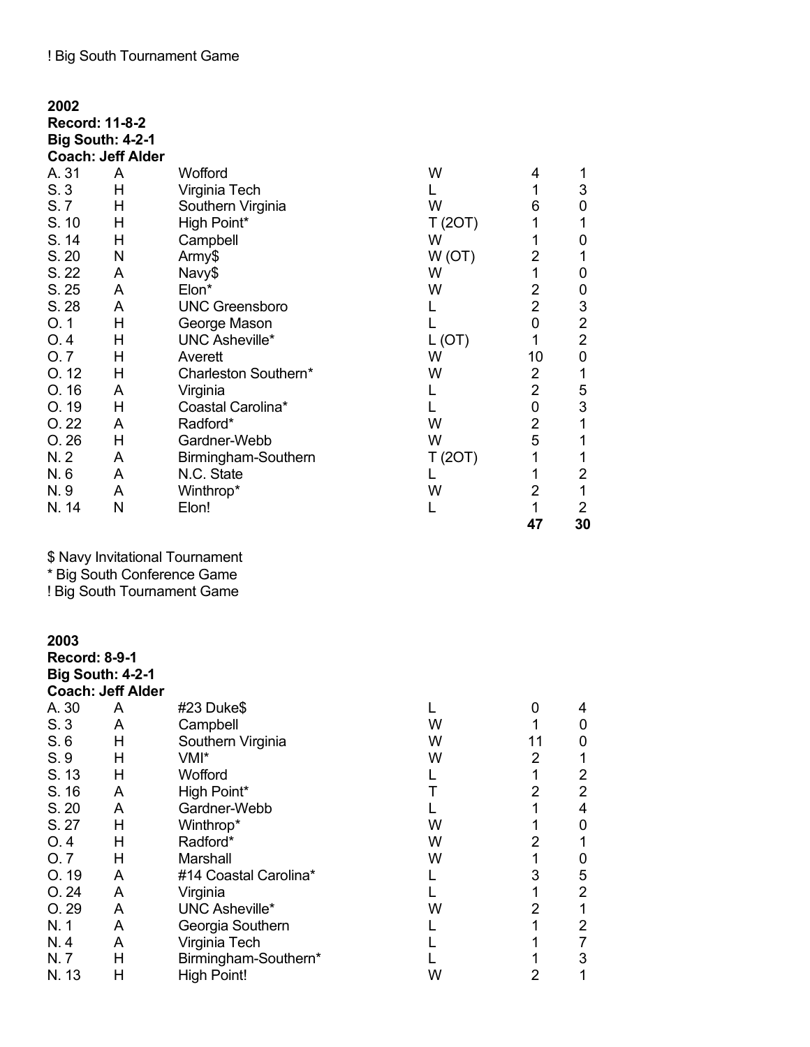| 2002  |                          |                       |         |                |                |
|-------|--------------------------|-----------------------|---------|----------------|----------------|
|       | Record: 11-8-2           |                       |         |                |                |
|       | <b>Big South: 4-2-1</b>  |                       |         |                |                |
|       | <b>Coach: Jeff Alder</b> |                       |         |                |                |
| A. 31 | A                        | Wofford               | W       | 4              | 1              |
| S.3   | Н                        | Virginia Tech         |         | 1              | 3              |
| S. 7  | Н                        | Southern Virginia     | W       | 6              | 0              |
| S. 10 | Н                        | High Point*           | T(2OT)  | 1              | 1              |
| S. 14 | Н                        | Campbell              | W       | 1              | 0              |
| S. 20 | N                        | Army\$                | W(OT)   | 2              | 1              |
| S. 22 | A                        | Navy\$                | W       | 1              | 0              |
| S. 25 | A                        | Elon*                 | W       | 2              | $\mathbf 0$    |
| S. 28 | A                        | <b>UNC Greensboro</b> | L       | $\overline{2}$ | 3              |
| O.1   | H                        | George Mason          |         | $\overline{0}$ | $\overline{c}$ |
| O.4   | Η                        | <b>UNC Asheville*</b> | L(OT)   | 1              | $\overline{2}$ |
| O.7   | H                        | Averett               | W       | 10             | $\mathbf 0$    |
| O.12  | Η                        | Charleston Southern*  | W       | 2              | 1              |
| O.16  | A                        | Virginia              |         | $\overline{2}$ | 5              |
| O.19  | Н                        | Coastal Carolina*     |         | 0              | 3              |
| O.22  | A                        | Radford*              | W       | $\overline{2}$ | $\mathbf 1$    |
| O.26  | Н                        | Gardner-Webb          | W       | 5              | 1              |
| N. 2  | A                        | Birmingham-Southern   | T (20T) |                | 1              |
| N.6   | A                        | N.C. State            |         | 1              | 2              |
| N.9   | A                        | Winthrop*             | W       | 2              | $\mathbf 1$    |
| N. 14 | N                        | Elon!                 |         | 1              | $\overline{2}$ |
|       |                          |                       |         | 47             | 30             |

\$ Navy Invitational Tournament

\* Big South Conference Game

! Big South Tournament Game

| 2003                 |                          |                       |   |    |   |
|----------------------|--------------------------|-----------------------|---|----|---|
| <b>Record: 8-9-1</b> |                          |                       |   |    |   |
|                      | <b>Big South: 4-2-1</b>  |                       |   |    |   |
|                      | <b>Coach: Jeff Alder</b> |                       |   |    |   |
| A. 30                | A                        | #23 Duke\$            |   | 0  | 4 |
| S.3                  | A                        | Campbell              | W |    | 0 |
| S.6                  | Η                        | Southern Virginia     | W | 11 | 0 |
| S.9                  | н                        | VMI*                  | W | 2  |   |
| S. 13                | н                        | Wofford               |   | 1  | 2 |
| S. 16                | A                        | High Point*           |   | 2  | 2 |
| S. 20                | A                        | Gardner-Webb          |   | 1  | 4 |
| S. 27                | н                        | Winthrop*             | W | 1  | 0 |
| O.4                  | н                        | Radford*              | W | 2  |   |
| O.7                  | н                        | Marshall              | W | 1  | 0 |
| O.19                 | A                        | #14 Coastal Carolina* |   | 3  | 5 |
| O.24                 | A                        | Virginia              |   | 1  | 2 |
| O.29                 | A                        | <b>UNC Asheville*</b> | W | 2  | 1 |
| N. 1                 | A                        | Georgia Southern      |   | 1  | 2 |
| N.4                  | A                        | Virginia Tech         |   | 1  |   |
| N. 7                 | Н                        | Birmingham-Southern*  |   | 1  | 3 |
| N. 13                | Η                        | <b>High Point!</b>    | W | 2  |   |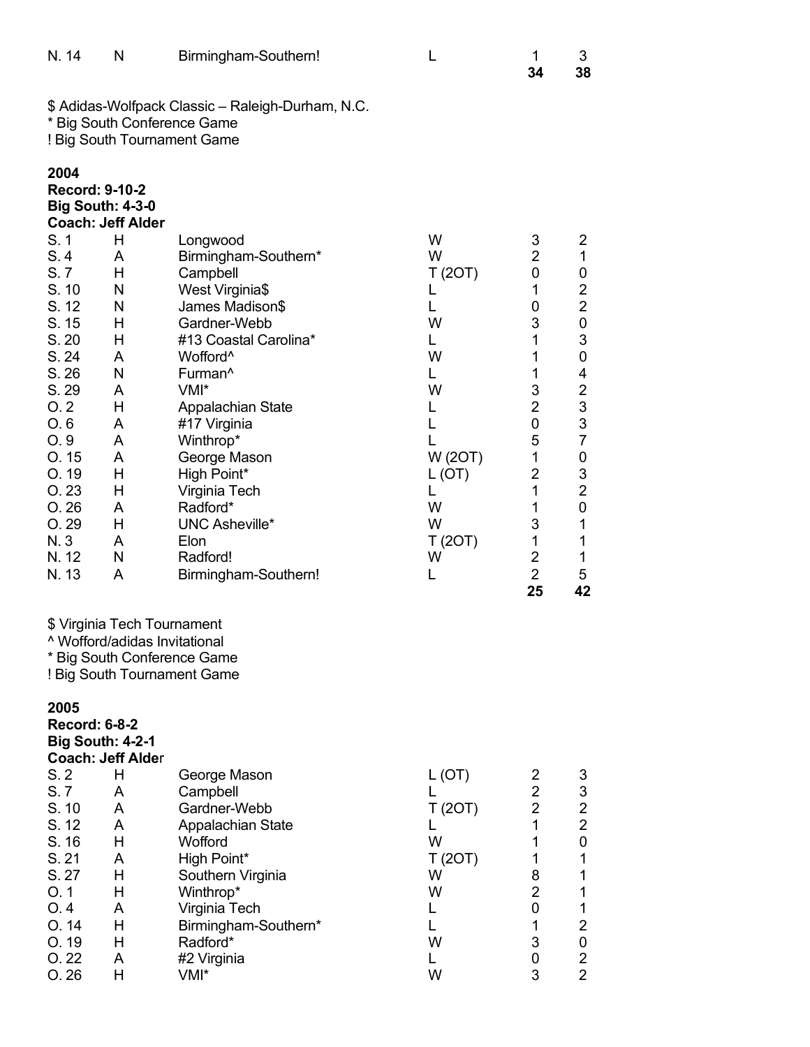| N. 14                                                                                                                                                                                                     | N                                                                                                                                                            | Birmingham-Southern!                                                                                                                                                                                                                                                                                                                                                  | L                                                                                                                            | 1<br>34                                                                                                                                                                                                | 3<br>38                                                                                                                                                                                         |
|-----------------------------------------------------------------------------------------------------------------------------------------------------------------------------------------------------------|--------------------------------------------------------------------------------------------------------------------------------------------------------------|-----------------------------------------------------------------------------------------------------------------------------------------------------------------------------------------------------------------------------------------------------------------------------------------------------------------------------------------------------------------------|------------------------------------------------------------------------------------------------------------------------------|--------------------------------------------------------------------------------------------------------------------------------------------------------------------------------------------------------|-------------------------------------------------------------------------------------------------------------------------------------------------------------------------------------------------|
|                                                                                                                                                                                                           |                                                                                                                                                              | \$ Adidas-Wolfpack Classic - Raleigh-Durham, N.C.<br>* Big South Conference Game<br>! Big South Tournament Game                                                                                                                                                                                                                                                       |                                                                                                                              |                                                                                                                                                                                                        |                                                                                                                                                                                                 |
| 2004<br><b>Record: 9-10-2</b><br>S.1<br>S.4<br>S.7<br>S. 10<br>S. 12<br>S. 15<br>S. 20<br>S. 24<br>S. 26<br>S. 29<br>O.2<br>O.6<br>O.9<br>O.15<br>O. 19<br>O.23<br>O.26<br>O.29<br>N. 3<br>N. 12<br>N. 13 | <b>Big South: 4-3-0</b><br><b>Coach: Jeff Alder</b><br>H<br>A<br>H<br>N<br>N<br>Н<br>Н<br>A<br>N<br>A<br>H<br>A<br>A<br>A<br>H<br>Н<br>A<br>H<br>A<br>N<br>A | Longwood<br>Birmingham-Southern*<br>Campbell<br>West Virginia\$<br>James Madison\$<br>Gardner-Webb<br>#13 Coastal Carolina*<br>Wofford <sup>^</sup><br>Furman <sup>^</sup><br>VMI*<br>Appalachian State<br>#17 Virginia<br>Winthrop*<br>George Mason<br>High Point*<br>Virginia Tech<br>Radford*<br><b>UNC Asheville*</b><br>Elon<br>Radford!<br>Birmingham-Southern! | W<br>W<br>T(2OT)<br>L<br>L<br>W<br>L.<br>W<br>L.<br>W<br>L.<br>L<br>L<br>W (20T)<br>L(OT)<br>L<br>W<br>W<br>T(2OT)<br>W<br>L | 3<br>$\overline{2}$<br>0<br>1<br>0<br>3<br>1<br>1<br>1<br>3<br>$\overline{2}$<br>$\boldsymbol{0}$<br>5<br>1<br>$\overline{2}$<br>$\mathbf{1}$<br>1<br>3<br>1<br>$\overline{2}$<br>$\overline{2}$<br>25 | 2<br>$\mathbf 1$<br>0<br>$\overline{2}$<br>$\overline{2}$<br>0<br>3<br>0<br>4<br>$\overline{\mathbf{c}}$<br>3<br>3<br>$\overline{7}$<br>0<br>3<br>$\overline{2}$<br>0<br>1<br>1<br>1<br>5<br>42 |
|                                                                                                                                                                                                           |                                                                                                                                                              | \$ Virginia Tech Tournament<br><sup>^</sup> Wofford/adidas Invitational<br>* Big South Conference Game<br>! Big South Tournament Game                                                                                                                                                                                                                                 |                                                                                                                              |                                                                                                                                                                                                        |                                                                                                                                                                                                 |
| 2005<br><b>Record: 6-8-2</b><br>S.2<br>S.7<br>S. 10<br>S. 12<br>S. 16<br>S. 21<br>S. 27<br>O.1<br>O.4<br>O.14<br>O. 19<br>O.22<br>O.26                                                                    | <b>Big South: 4-2-1</b><br><b>Coach: Jeff Alder</b><br>H<br>A<br>A<br>A<br>H<br>A<br>H<br>Н<br>A<br>H<br>H<br>A<br>Н                                         | George Mason<br>Campbell<br>Gardner-Webb<br>Appalachian State<br>Wofford<br>High Point*<br>Southern Virginia<br>Winthrop*<br>Virginia Tech<br>Birmingham-Southern*<br>Radford*<br>#2 Virginia<br>VMI*                                                                                                                                                                 | L (OT)<br>L.<br>T(2OT)<br>L<br>W<br>T(2OT)<br>W<br>W<br>L.<br>L.<br>W<br>L.<br>W                                             | 2<br>$\overline{2}$<br>$\overline{2}$<br>1<br>1<br>1<br>8<br>$\overline{2}$<br>0<br>1<br>3<br>0<br>3                                                                                                   | 3<br>3<br>$\overline{c}$<br>$\overline{2}$<br>0<br>1<br>1<br>1<br>1<br>$\overline{2}$<br>0<br>$\overline{c}$<br>$\overline{2}$                                                                  |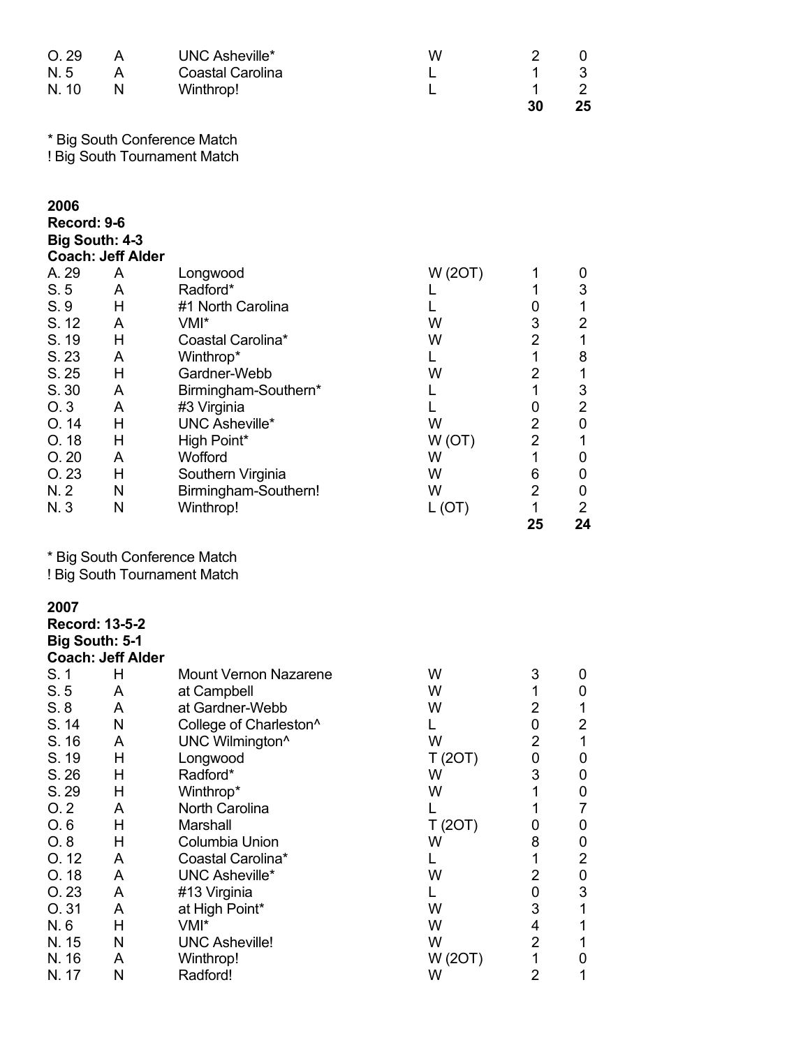| O.29<br>N.5<br>N. 10                                                                                                                                   | A<br>A<br>N                                                                                 | <b>UNC Asheville*</b><br><b>Coastal Carolina</b><br>Winthrop!                                                                                                                                                                                                                                                                                          | W<br>L<br>L                                                                                                   | 2<br>1<br>1<br>30                                                                                                                                                                            | 0<br>3<br>$\overline{2}$<br>25                                                                                                                                               |
|--------------------------------------------------------------------------------------------------------------------------------------------------------|---------------------------------------------------------------------------------------------|--------------------------------------------------------------------------------------------------------------------------------------------------------------------------------------------------------------------------------------------------------------------------------------------------------------------------------------------------------|---------------------------------------------------------------------------------------------------------------|----------------------------------------------------------------------------------------------------------------------------------------------------------------------------------------------|------------------------------------------------------------------------------------------------------------------------------------------------------------------------------|
|                                                                                                                                                        |                                                                                             | * Big South Conference Match<br>! Big South Tournament Match                                                                                                                                                                                                                                                                                           |                                                                                                               |                                                                                                                                                                                              |                                                                                                                                                                              |
| 2006<br>Record: 9-6<br><b>Big South: 4-3</b>                                                                                                           | <b>Coach: Jeff Alder</b>                                                                    |                                                                                                                                                                                                                                                                                                                                                        |                                                                                                               |                                                                                                                                                                                              |                                                                                                                                                                              |
| A. 29<br>S.5<br>S.9<br>S. 12<br>S. 19<br>S. 23<br>S. 25<br>S. 30<br>O.3<br>O. 14<br>O.18<br>O.20<br>O.23<br>N. 2<br>N. 3                               | A<br>A<br>H<br>A<br>H<br>A<br>Н<br>A<br>A<br>H<br>Н<br>A<br>Н<br>N<br>N                     | Longwood<br>Radford*<br>#1 North Carolina<br>VMI*<br>Coastal Carolina*<br>Winthrop*<br>Gardner-Webb<br>Birmingham-Southern*<br>#3 Virginia<br><b>UNC Asheville*</b><br>High Point*<br>Wofford<br>Southern Virginia<br>Birmingham-Southern!<br>Winthrop!                                                                                                | W (20T)<br>L<br>L<br>W<br>W<br>L.<br>W<br>L<br>L<br>W<br>W(OT)<br>W<br>W<br>W<br>L (OT)                       | 1<br>1<br>0<br>3<br>$\overline{2}$<br>$\mathbf 1$<br>$\overline{c}$<br>$\mathbf{1}$<br>0<br>$\overline{c}$<br>$\overline{2}$<br>$\mathbf{1}$<br>6<br>$\overline{2}$<br>$\mathbf{1}$<br>25    | $\mathbf 0$<br>3<br>$\mathbf 1$<br>$\overline{2}$<br>$\mathbf 1$<br>8<br>1<br>3<br>$\overline{2}$<br>$\boldsymbol{0}$<br>$\mathbf{1}$<br>0<br>0<br>0<br>$\overline{2}$<br>24 |
|                                                                                                                                                        |                                                                                             | * Big South Conference Match<br>! Big South Tournament Match                                                                                                                                                                                                                                                                                           |                                                                                                               |                                                                                                                                                                                              |                                                                                                                                                                              |
| 2007<br><b>Record: 13-5-2</b><br><b>Big South: 5-1</b>                                                                                                 | <b>Coach: Jeff Alder</b>                                                                    |                                                                                                                                                                                                                                                                                                                                                        |                                                                                                               |                                                                                                                                                                                              |                                                                                                                                                                              |
| S.1<br>S.5<br>S.8<br>S. 14<br>S. 16<br>S. 19<br>S. 26<br>S. 29<br>O.2<br>O.6<br>O.8<br>O.12<br>O. 18<br>O.23<br>O.31<br>N.6<br>N. 15<br>N. 16<br>N. 17 | H<br>A<br>A<br>N<br>A<br>Н<br>Н<br>H<br>A<br>Н<br>Н<br>A<br>A<br>A<br>A<br>H<br>N<br>A<br>N | <b>Mount Vernon Nazarene</b><br>at Campbell<br>at Gardner-Webb<br>College of Charleston^<br>UNC Wilmington <sup>^</sup><br>Longwood<br>Radford*<br>Winthrop*<br>North Carolina<br>Marshall<br>Columbia Union<br>Coastal Carolina*<br><b>UNC Asheville*</b><br>#13 Virginia<br>at High Point*<br>VMI*<br><b>UNC Asheville!</b><br>Winthrop!<br>Radford! | W<br>W<br>W<br>L<br>W<br>T (20T)<br>W<br>W<br>L<br>T(2OT)<br>W<br>L<br>W<br>L.<br>W<br>W<br>W<br>W (20T)<br>W | 3<br>1<br>$\overline{2}$<br>0<br>$\overline{2}$<br>0<br>3<br>$\mathbf{1}$<br>1<br>0<br>8<br>$\mathbf 1$<br>$\overline{2}$<br>0<br>3<br>4<br>$\overline{2}$<br>$\mathbf{1}$<br>$\overline{2}$ | 0<br>0<br>1<br>$\overline{2}$<br>$\mathbf{1}$<br>0<br>0<br>0<br>7<br>0<br>0<br>$\overline{2}$<br>$\pmb{0}$<br>3<br>$\mathbf 1$<br>1<br>1<br>0<br>1                           |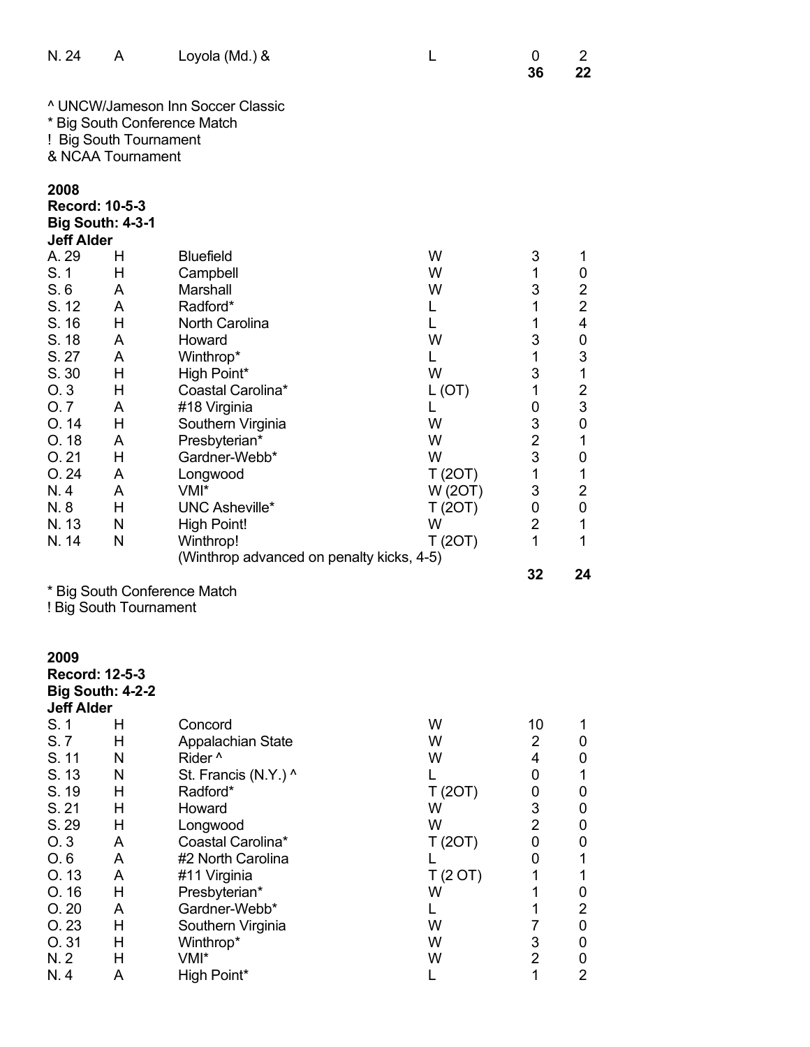| N. 24                                                                                                                                           | A                                                                                      | Loyola (Md.) &                                                                                                                                                                                                                                                                                                                 | L                                                                                                                 | 0<br>36                                                                                                                           | 2<br>22                                                                                                                                                                                                                      |
|-------------------------------------------------------------------------------------------------------------------------------------------------|----------------------------------------------------------------------------------------|--------------------------------------------------------------------------------------------------------------------------------------------------------------------------------------------------------------------------------------------------------------------------------------------------------------------------------|-------------------------------------------------------------------------------------------------------------------|-----------------------------------------------------------------------------------------------------------------------------------|------------------------------------------------------------------------------------------------------------------------------------------------------------------------------------------------------------------------------|
|                                                                                                                                                 | * Big South Conference Match<br>! Big South Tournament<br>& NCAA Tournament            | <sup>^</sup> UNCW/Jameson Inn Soccer Classic                                                                                                                                                                                                                                                                                   |                                                                                                                   |                                                                                                                                   |                                                                                                                                                                                                                              |
| 2008<br>Record: 10-5-3<br><b>Big South: 4-3-1</b><br><b>Jeff Alder</b>                                                                          |                                                                                        |                                                                                                                                                                                                                                                                                                                                |                                                                                                                   |                                                                                                                                   |                                                                                                                                                                                                                              |
| A. 29<br>S. 1<br>S.6<br>S. 12<br>S. 16<br>S. 18<br>S. 27<br>S. 30<br>O.3<br>O.7<br>O.14<br>O.18<br>O.21<br>O.24<br>N.4<br>N.8<br>N. 13<br>N. 14 | н<br>н<br>A<br>A<br>Н<br>A<br>A<br>Н<br>Н<br>A<br>Н<br>A<br>Н<br>A<br>A<br>Н<br>N<br>N | <b>Bluefield</b><br>Campbell<br>Marshall<br>Radford*<br>North Carolina<br>Howard<br>Winthrop*<br>High Point*<br>Coastal Carolina*<br>#18 Virginia<br>Southern Virginia<br>Presbyterian*<br>Gardner-Webb*<br>Longwood<br>VMI*<br><b>UNC Asheville*</b><br>High Point!<br>Winthrop!<br>(Winthrop advanced on penalty kicks, 4-5) | W<br>W<br>W<br>L<br>L<br>W<br>L<br>W<br>L (OT)<br>L<br>W<br>W<br>W<br>T(2OT)<br>W (20T)<br>T (20T)<br>W<br>T(2OT) | 3<br>1<br>3<br>1<br>1<br>3<br>1<br>3<br>1<br>0<br>3<br>$\overline{c}$<br>3<br>1<br>3<br>0<br>$\overline{\mathbf{c}}$<br>1<br>32   | 1<br>$\mathbf 0$<br>$\overline{c}$<br>$\overline{2}$<br>4<br>$\mathbf 0$<br>3<br>1<br>$\overline{\mathbf{c}}$<br>3<br>$\mathbf 0$<br>$\mathbf 1$<br>$\pmb{0}$<br>1<br>$\overline{\mathbf{c}}$<br>$\mathbf 0$<br>1<br>1<br>24 |
|                                                                                                                                                 | * Big South Conference Match<br>! Big South Tournament                                 |                                                                                                                                                                                                                                                                                                                                |                                                                                                                   |                                                                                                                                   |                                                                                                                                                                                                                              |
| 2009<br>Record: 12-5-3<br><b>Big South: 4-2-2</b><br><b>Jeff Alder</b>                                                                          |                                                                                        |                                                                                                                                                                                                                                                                                                                                |                                                                                                                   |                                                                                                                                   |                                                                                                                                                                                                                              |
| S.1<br>S.7<br>S. 11<br>S. 13<br>S. 19<br>S. 21<br>S. 29<br>O.3<br>O.6<br>O.13<br>O. 16<br>O.20<br>O.23<br>O.31<br>N. 2<br>N.4                   | н<br>Н<br>N<br>Ν<br>Н<br>Н<br>Н<br>A<br>A<br>A<br>Н<br>A<br>Н<br>Н<br>Н<br>Α           | Concord<br><b>Appalachian State</b><br>Rider <sup>^</sup><br>St. Francis (N.Y.) ^<br>Radford*<br>Howard<br>Longwood<br>Coastal Carolina*<br>#2 North Carolina<br>#11 Virginia<br>Presbyterian*<br>Gardner-Webb*<br>Southern Virginia<br>Winthrop*<br>VMI*<br>High Point*                                                       | W<br>W<br>W<br>L<br>T(2OT)<br>W<br>W<br>T(2OT)<br>L<br>T(2 O T)<br>W<br>L<br>W<br>W<br>W<br>L                     | 10<br>$\overline{2}$<br>4<br>0<br>0<br>3<br>$\overline{c}$<br>0<br>0<br>1<br>1<br>1<br>$\overline{7}$<br>3<br>$\overline{2}$<br>1 | 1<br>0<br>0<br>1<br>0<br>0<br>0<br>0<br>1<br>1<br>$\boldsymbol{0}$<br>$\overline{2}$<br>$\boldsymbol{0}$<br>$\boldsymbol{0}$<br>$\boldsymbol{0}$<br>$\overline{2}$                                                           |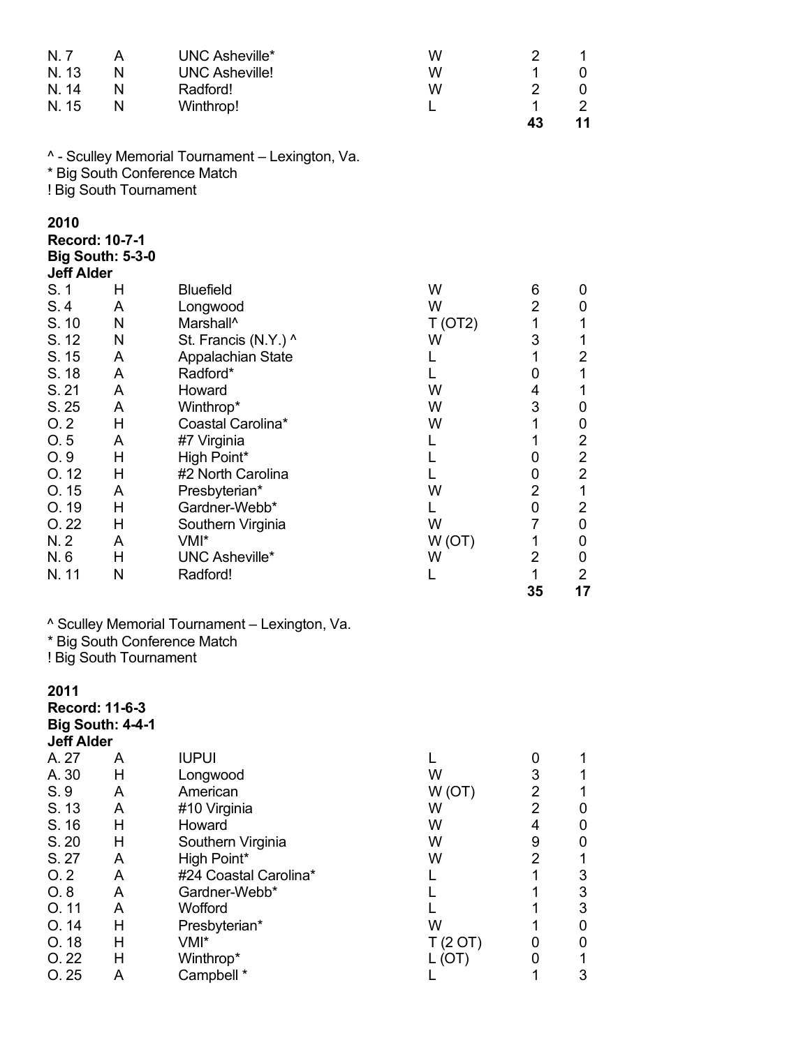| N. 7<br>N. 13<br>N. 14<br>N. 15                    | A<br>N<br>N<br>N                          | UNC Asheville*<br><b>UNC Asheville!</b><br>Radford!<br>Winthrop!                 | W<br>W<br>W<br>L | 2<br>1<br>$\overline{2}$<br>$\mathbf 1$<br>43 | 1<br>0<br>0<br>$\overline{2}$<br>11        |
|----------------------------------------------------|-------------------------------------------|----------------------------------------------------------------------------------|------------------|-----------------------------------------------|--------------------------------------------|
|                                                    | ! Big South Tournament                    | ^ - Sculley Memorial Tournament - Lexington, Va.<br>* Big South Conference Match |                  |                                               |                                            |
| 2010<br><b>Record: 10-7-1</b><br><b>Jeff Alder</b> | <b>Big South: 5-3-0</b>                   |                                                                                  |                  |                                               |                                            |
| S.1                                                | н                                         | <b>Bluefield</b>                                                                 | W                | 6                                             | 0                                          |
| S.4<br>S. 10                                       | A<br>N                                    | Longwood<br>Marshall <sup>^</sup>                                                | W<br>T (OT2)     | $\overline{2}$<br>1                           | 0<br>$\mathbf 1$                           |
| S. 12                                              | N                                         | St. Francis (N.Y.) ^                                                             | W                | 3                                             | 1                                          |
| S. 15                                              | A                                         | Appalachian State                                                                | L                | 1                                             | $\overline{c}$                             |
| S. 18<br>S. 21                                     | A<br>A                                    | Radford*                                                                         | L<br>W           | 0<br>4                                        | $\mathbf 1$<br>$\mathbf 1$                 |
| S. 25                                              | A                                         | Howard<br>Winthrop*                                                              | W                | 3                                             | 0                                          |
| O.2                                                | H                                         | Coastal Carolina*                                                                | W                | 1                                             | 0                                          |
| O.5                                                | A                                         | #7 Virginia                                                                      | L                | 1                                             | $\overline{c}$                             |
| O.9<br>O.12                                        | Н<br>Н                                    | High Point*<br>#2 North Carolina                                                 | L<br>L           | 0<br>0                                        | $\frac{2}{2}$                              |
| O.15                                               | A                                         | Presbyterian*                                                                    | W                | $\overline{2}$                                | $\mathbf{1}$                               |
| O. 19                                              | Н                                         | Gardner-Webb*                                                                    | L                | 0                                             | $\overline{2}$                             |
| O.22<br>N.2                                        | Н<br>A                                    | Southern Virginia<br>VMI*                                                        | W<br>W(OT)       | $\overline{7}$<br>1                           | 0<br>0                                     |
| N.6                                                | Н                                         | <b>UNC Asheville*</b>                                                            | W                | $\overline{2}$                                | 0                                          |
| N. 11                                              | N                                         | Radford!                                                                         | L                | 1<br>35                                       | $\overline{2}$<br>17                       |
|                                                    | ! Big South Tournament                    | ^ Sculley Memorial Tournament - Lexington, Va.<br>* Big South Conference Match   |                  |                                               |                                            |
|                                                    |                                           |                                                                                  |                  |                                               |                                            |
| 2011<br><b>Jeff Alder</b>                          | Record: 11-6-3<br><b>Big South: 4-4-1</b> |                                                                                  |                  |                                               |                                            |
| A. 27                                              | A                                         | <b>IUPUI</b>                                                                     | L                | 0                                             | 1                                          |
| A. 30                                              | Η                                         | Longwood                                                                         | W                | 3<br>$\overline{2}$                           | 1                                          |
| S. 9<br>S. 13                                      | A<br>A                                    | American<br>#10 Virginia                                                         | W(OT)<br>W       | $\overline{2}$                                | $\mathbf{1}$<br>$\pmb{0}$                  |
| S. 16                                              | Н                                         | Howard                                                                           | W                | 4                                             | $\pmb{0}$                                  |
| S. 20                                              | Η                                         | Southern Virginia                                                                | W                | 9                                             | $\boldsymbol{0}$                           |
| S. 27<br>O.2                                       | A<br>A                                    | High Point*<br>#24 Coastal Carolina*                                             | W<br>L           | $\overline{2}$<br>1                           | $\mathbf 1$                                |
| O.8                                                | A                                         | Gardner-Webb*                                                                    | L                | 1                                             | $\begin{array}{c} 3 \\ 3 \\ 3 \end{array}$ |
| O.11                                               | A                                         | Wofford                                                                          | L                | 1                                             |                                            |
| O.14                                               | Н                                         | Presbyterian*                                                                    | W                | 1                                             | $\pmb{0}$                                  |
| O.18<br>O.22                                       | Н<br>H                                    | VMI*<br>Winthrop*                                                                | T(2 OT)<br>L(OT) | 0<br>0                                        | 0<br>1                                     |
| O.25                                               | А                                         | Campbell *                                                                       |                  | 1                                             | 3                                          |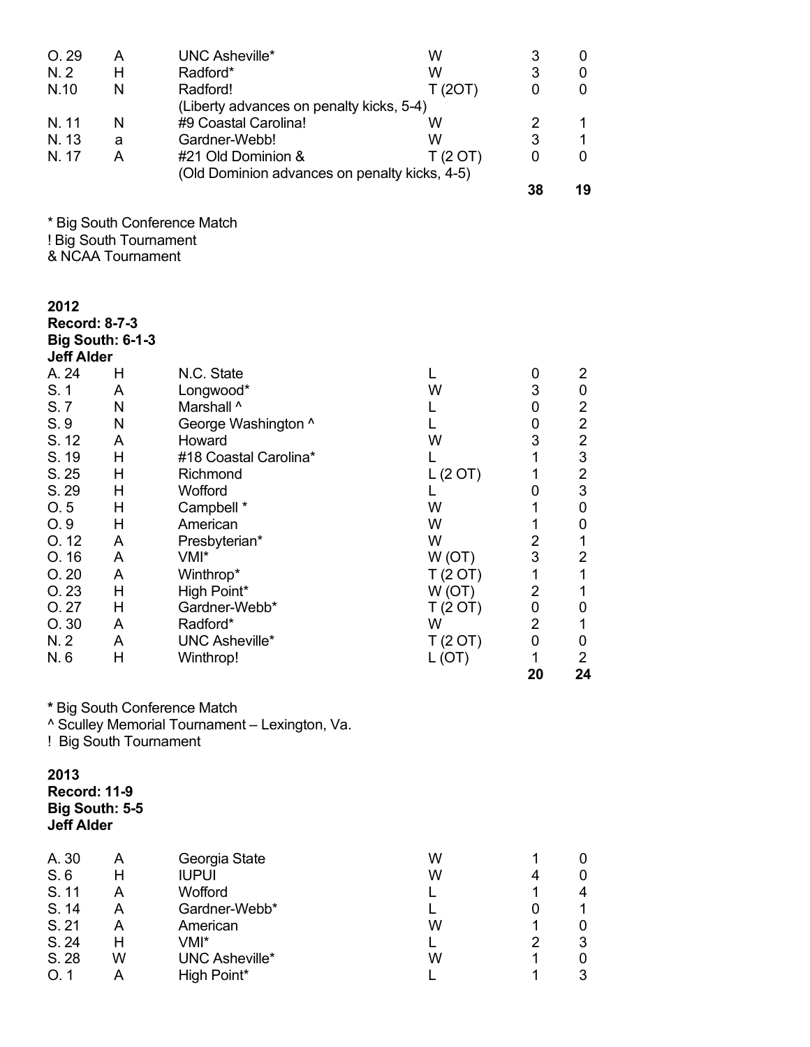| O. 29<br>N.2<br>N.10<br>N. 11<br>N. 13<br>N. 17                                                                                                 | A<br>Н<br>N<br>N<br>a<br>A                                                             | <b>UNC Asheville*</b><br>Radford*<br>Radford!<br>(Liberty advances on penalty kicks, 5-4)<br>#9 Coastal Carolina!<br>Gardner-Webb!<br>#21 Old Dominion &<br>(Old Dominion advances on penalty kicks, 4-5)                                                                | W<br>W<br>T(2OT)<br>W<br>W<br>T(2 O T)                                                                                       | 3<br>3<br>0<br>$\overline{2}$<br>3<br>0<br>38                                                                                                 | 0<br>0<br>0<br>1<br>1<br>0<br>19                                                                                                                                                                                            |
|-------------------------------------------------------------------------------------------------------------------------------------------------|----------------------------------------------------------------------------------------|--------------------------------------------------------------------------------------------------------------------------------------------------------------------------------------------------------------------------------------------------------------------------|------------------------------------------------------------------------------------------------------------------------------|-----------------------------------------------------------------------------------------------------------------------------------------------|-----------------------------------------------------------------------------------------------------------------------------------------------------------------------------------------------------------------------------|
|                                                                                                                                                 | * Big South Conference Match<br>! Big South Tournament<br>& NCAA Tournament            |                                                                                                                                                                                                                                                                          |                                                                                                                              |                                                                                                                                               |                                                                                                                                                                                                                             |
| 2012<br><b>Record: 8-7-3</b><br><b>Big South: 6-1-3</b><br><b>Jeff Alder</b>                                                                    |                                                                                        |                                                                                                                                                                                                                                                                          |                                                                                                                              |                                                                                                                                               |                                                                                                                                                                                                                             |
| A. 24<br>S. 1<br>S.7<br>S. 9<br>S. 12<br>S. 19<br>S. 25<br>S. 29<br>O.5<br>O.9<br>O.12<br>O. 16<br>O.20<br>O.23<br>O. 27<br>O.30<br>N. 2<br>N.6 | Н<br>A<br>N<br>N<br>A<br>Н<br>Н<br>Н<br>H<br>Н<br>A<br>A<br>A<br>Н<br>Н<br>A<br>A<br>Н | N.C. State<br>Longwood*<br>Marshall ^<br>George Washington ^<br>Howard<br>#18 Coastal Carolina*<br>Richmond<br>Wofford<br>Campbell *<br>American<br>Presbyterian*<br>VMI*<br>Winthrop*<br>High Point*<br>Gardner-Webb*<br>Radford*<br><b>UNC Asheville*</b><br>Winthrop! | L<br>W<br>L<br>L<br>W<br>L<br>L(2 OT)<br>L<br>W<br>W<br>W<br>W(OT)<br>T(2 OT)<br>W(OT)<br>T (2 OT)<br>W<br>T(2 O T)<br>L(OT) | 0<br>3<br>0<br>0<br>3<br>1<br>1<br>0<br>1<br>1<br>$\overline{2}$<br>3<br>$\mathbf 1$<br>$\overline{2}$<br>0<br>$\overline{2}$<br>0<br>1<br>20 | $\overline{2}$<br>$\pmb{0}$<br>$\overline{\mathbf{c}}$<br>$\overline{2}$<br>$\overline{2}$<br>3<br>$\overline{\mathbf{c}}$<br>3<br>0<br>0<br>1<br>$\overline{2}$<br>1<br>1<br>$\mathbf 0$<br>1<br>0<br>$\overline{2}$<br>24 |
|                                                                                                                                                 | * Big South Conference Match<br>! Big South Tournament                                 | ^ Sculley Memorial Tournament - Lexington, Va.                                                                                                                                                                                                                           |                                                                                                                              |                                                                                                                                               |                                                                                                                                                                                                                             |
| 2013<br><b>Record: 11-9</b><br><b>Big South: 5-5</b><br><b>Jeff Alder</b>                                                                       |                                                                                        |                                                                                                                                                                                                                                                                          |                                                                                                                              |                                                                                                                                               |                                                                                                                                                                                                                             |
| A. 30<br>S.6<br>S. 11<br>S. 14<br>S. 21<br>S. 24<br>S. 28<br>O.1                                                                                | A<br>Н<br>A<br>A<br>A<br>Н<br>W<br>A                                                   | Georgia State<br><b>IUPUI</b><br>Wofford<br>Gardner-Webb*<br>American<br>VMI*<br><b>UNC Asheville*</b><br>High Point*                                                                                                                                                    | W<br>W<br>L<br>L<br>W<br>L.<br>W<br>L                                                                                        | 1<br>4<br>1<br>0<br>1<br>2<br>1<br>1                                                                                                          | 0<br>0<br>4<br>$\mathbf 1$<br>0<br>3<br>0<br>3                                                                                                                                                                              |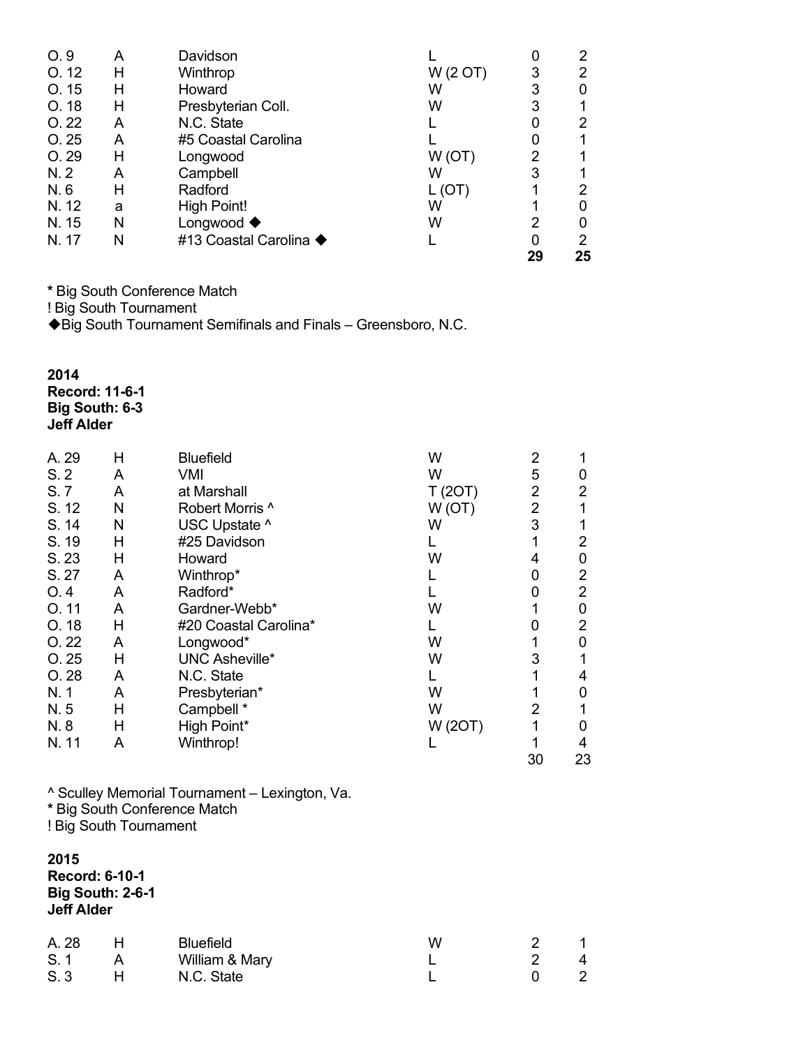|       |   |                          |          | 29 | 25 |
|-------|---|--------------------------|----------|----|----|
| N. 17 | N | #13 Coastal Carolina ◆   |          | 0  | 2  |
| N. 15 | N | Longwood $\blacklozenge$ | W        | 2  | 0  |
| N. 12 | a | High Point!              | W        |    | 0  |
| N.6   | Н | Radford                  | L(U)     |    | 2  |
| N.2   | A | Campbell                 | W        | 3  |    |
| O. 29 | н | Longwood                 | W(OT)    |    |    |
| O.25  | A | #5 Coastal Carolina      |          |    |    |
| O.22  | A | N.C. State               |          |    | 2  |
| O. 18 | Н | Presbyterian Coll.       | W        | 3  | 1  |
| O.15  | н | Howard                   | W        | 3  | 0  |
| O.12  | н | Winthrop                 | W (2 OT) | 3  | 2  |
| O.9   | A | Davidson                 |          |    | 2  |

**\*** Big South Conference Match

! Big South Tournament

◆ Big South Tournament Semifinals and Finals – Greensboro, N.C.

**2014 Record: 11-6-1 Big South: 6-3 Jeff Alder**

| A. 29 | н | <b>Bluefield</b>      | W       | 2  |                |
|-------|---|-----------------------|---------|----|----------------|
| S.2   | A | VMI                   | W       | 5  | O              |
| S.7   | A | at Marshall           | T (20T) | 2  | 2              |
| S. 12 | N | Robert Morris ^       | W (OT)  | 2  |                |
| S. 14 | N | USC Upstate ^         | W       | 3  |                |
| S. 19 | н | #25 Davidson          |         |    | 2              |
| S. 23 | H | Howard                | W       | 4  | 0              |
| S. 27 | A | Winthrop*             |         | 0  | $\overline{2}$ |
| O.4   | A | Radford*              |         | 0  | 2              |
| O.11  | A | Gardner-Webb*         | W       |    | 0              |
| O. 18 | Н | #20 Coastal Carolina* |         | 0  | 2              |
| O.22  | A | Longwood*             | W       |    | 0              |
| O.25  | H | <b>UNC Asheville*</b> | W       | 3  |                |
| O.28  | A | N.C. State            |         |    | 4              |
| N. 1  | A | Presbyterian*         | W       |    | 0              |
| N.5   | н | Campbell *            | W       | 2  |                |
| N.8   | н | High Point*           | W (20T) |    | ი              |
| N. 11 | A | Winthrop!             |         |    | 4              |
|       |   |                       |         | 30 | 23             |
|       |   |                       |         |    |                |

^ Sculley Memorial Tournament – Lexington, Va. **\*** Big South Conference Match

! Big South Tournament

**2015 Record: 6-10-1 Big South: 2-6-1 Jeff Alder**

| A. 28 | Н. | Bluefield      | w |                   |
|-------|----|----------------|---|-------------------|
| S. 1  |    | William & Mary |   | $\mathbf{\Delta}$ |
| S. 3  |    | N.C. State     |   |                   |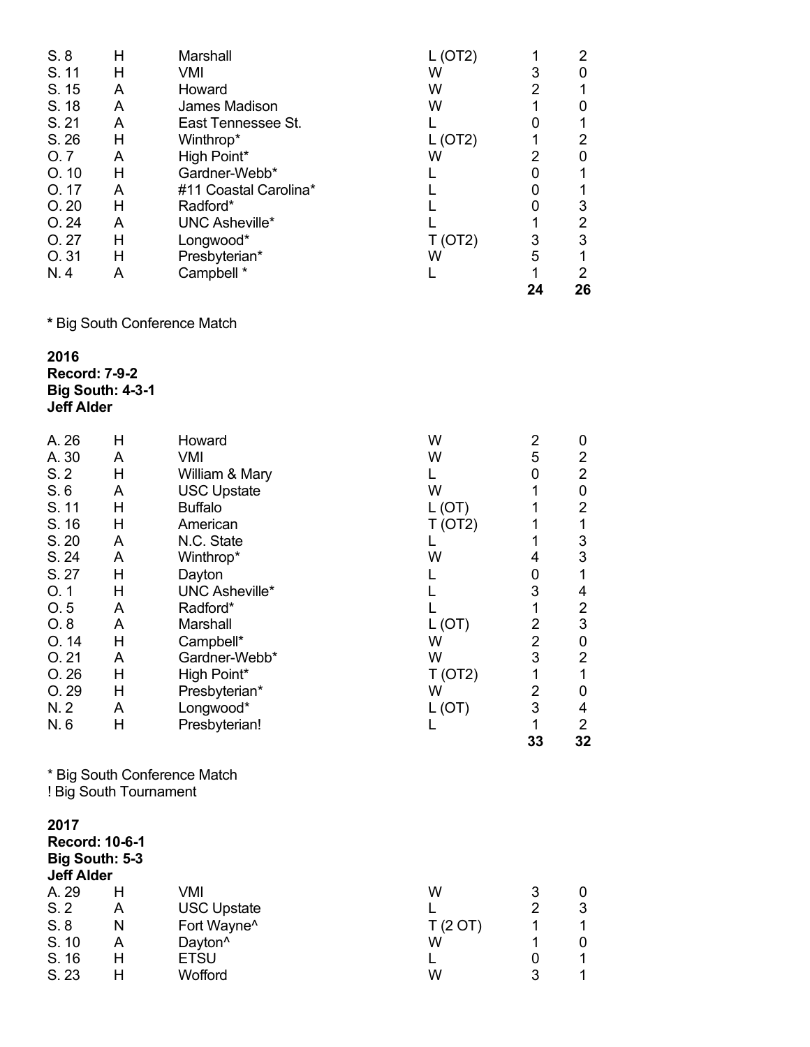|       |   |                       |      | 24 | 26 |
|-------|---|-----------------------|------|----|----|
| N.4   | A | Campbell *            |      |    | 2  |
| O.31  | Н | Presbyterian*         | W    | 5  |    |
| O.27  | н | Longwood*             | OT2) | 3  | 3  |
| O.24  | А | UNC Asheville*        |      |    | 2  |
| O.20  | н | Radford*              |      |    | 3  |
| O.17  | A | #11 Coastal Carolina* |      |    |    |
| O.10  | н | Gardner-Webb*         |      |    |    |
| O. 7  | A | High Point*           | W    |    |    |
| S.26  | н | Winthrop*             |      |    |    |
| S. 21 | A | East Tennessee St.    |      |    |    |
| S. 18 | A | James Madison         | W    |    |    |
| S. 15 | A | Howard                | W    |    |    |
| S. 11 | Н | VMI                   | W    | 3  |    |
| S.8   | Н | Marshall              |      |    | 2  |

**\*** Big South Conference Match

**201 6 Record: 7 - 9 - 2 Big South: 4 - 3 - 1 Jeff Alder**

S. 16

S. 23

H ETSU

H Wofford

| Н                                       | Howard                      | W                                                                                                                                                                                      |               | 0                                                                                                                                   |
|-----------------------------------------|-----------------------------|----------------------------------------------------------------------------------------------------------------------------------------------------------------------------------------|---------------|-------------------------------------------------------------------------------------------------------------------------------------|
| A                                       | <b>VMI</b>                  | W                                                                                                                                                                                      | 5             | $\overline{2}$                                                                                                                      |
| H                                       |                             | L                                                                                                                                                                                      | 0             | $\overline{2}$                                                                                                                      |
| A                                       |                             | W                                                                                                                                                                                      | 1             | 0                                                                                                                                   |
| H                                       | <b>Buffalo</b>              | L (OT)                                                                                                                                                                                 | 1             | $\overline{2}$                                                                                                                      |
| H                                       | American                    | T (OT2)                                                                                                                                                                                | 1             | $\mathbf 1$                                                                                                                         |
| A                                       | N.C. State                  | L                                                                                                                                                                                      | 1             | 3                                                                                                                                   |
| A                                       | Winthrop*                   | W                                                                                                                                                                                      | 4             | 3                                                                                                                                   |
| H                                       |                             | L                                                                                                                                                                                      | 0             | 1                                                                                                                                   |
| Н                                       | <b>UNC Asheville*</b>       | L                                                                                                                                                                                      | 3             | 4                                                                                                                                   |
| A                                       | Radford*                    |                                                                                                                                                                                        |               | $\overline{c}$                                                                                                                      |
| A                                       | Marshall                    | L (OT)                                                                                                                                                                                 |               | $\mathfrak{S}$                                                                                                                      |
| Η                                       | Campbell*                   | W                                                                                                                                                                                      |               | $\pmb{0}$                                                                                                                           |
| A                                       | Gardner-Webb*               | W                                                                                                                                                                                      |               | $\overline{\mathbf{c}}$                                                                                                             |
| Н                                       |                             | T (OT2)                                                                                                                                                                                | $\mathbf 1$   | $\mathbf{1}$                                                                                                                        |
| Н                                       | Presbyterian*               | W                                                                                                                                                                                      |               | 0                                                                                                                                   |
| A                                       | Longwood*                   | L (OT)                                                                                                                                                                                 |               | 4                                                                                                                                   |
| Н                                       | Presbyterian!               | L                                                                                                                                                                                      | 1             | $\overline{2}$                                                                                                                      |
|                                         |                             |                                                                                                                                                                                        | 33            | 32                                                                                                                                  |
|                                         |                             |                                                                                                                                                                                        |               |                                                                                                                                     |
| <b>Record: 10-6-1</b><br>Big South: 5-3 |                             |                                                                                                                                                                                        |               |                                                                                                                                     |
| н                                       |                             |                                                                                                                                                                                        |               | 0                                                                                                                                   |
|                                         |                             | L                                                                                                                                                                                      |               | 3                                                                                                                                   |
|                                         |                             |                                                                                                                                                                                        |               | 1                                                                                                                                   |
| A                                       | Dayton <sup>^</sup>         | W                                                                                                                                                                                      | 1             | 0                                                                                                                                   |
|                                         | <b>Jeff Alder</b><br>A<br>N | William & Mary<br><b>USC Upstate</b><br>Dayton<br>High Point*<br>* Big South Conference Match<br>! Big South Tournament<br><b>VMI</b><br><b>USC Upstate</b><br>Fort Wayne <sup>^</sup> | W<br>T(2 O T) | $\overline{\mathbf{c}}$<br>$\mathbf 1$<br>$\begin{array}{c} 2 \\ 2 \\ 3 \end{array}$<br>$\overline{\mathbf{c}}$<br>3<br>3<br>2<br>1 |

L

W

0

3

1

1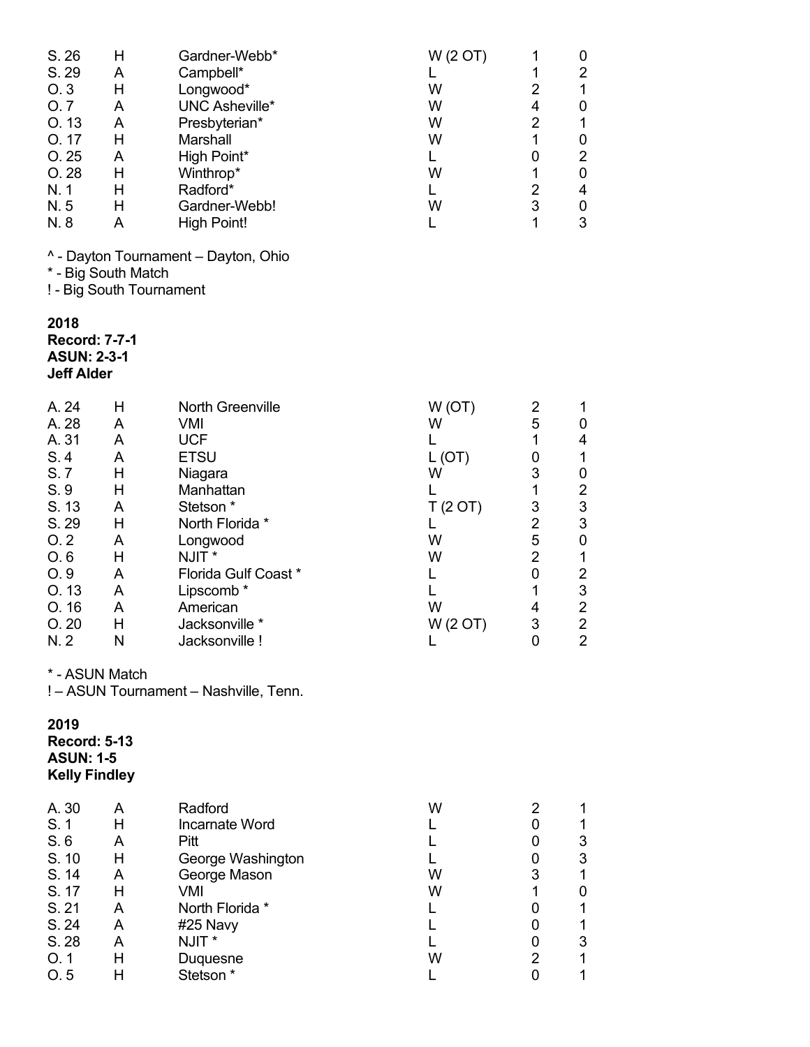| S. 26<br>S. 29<br>O.3<br>O.7<br>O. 13<br>O. 17<br>O. 25<br>O. 28<br>N.1<br>N.5<br>N. 8                                 | н<br>A<br>н<br>A<br>A<br>н<br>A<br>Н<br>Н<br>Η<br>A                                | Gardner-Webb*<br>Campbell*<br>Longwood*<br><b>UNC Asheville*</b><br>Presbyterian*<br>Marshall<br>High Point*<br>Winthrop*<br>Radford*<br>Gardner-Webb!<br><b>High Point!</b>                                                                         | W (2 OT)<br>L<br>W<br>W<br>W<br>W<br>L<br>W<br>L<br>W<br>L                                    | 1<br>1<br>$\overline{2}$<br>4<br>$\overline{2}$<br>1<br>0<br>1<br>$\overline{2}$<br>3<br>$\mathbf{1}$       | 0<br>2<br>$\mathbf{1}$<br>$\pmb{0}$<br>$\mathbf 1$<br>0<br>$\overline{\mathbf{c}}$<br>$\pmb{0}$<br>$\overline{\mathbf{4}}$<br>$\mathbf 0$<br>3                                                          |
|------------------------------------------------------------------------------------------------------------------------|------------------------------------------------------------------------------------|------------------------------------------------------------------------------------------------------------------------------------------------------------------------------------------------------------------------------------------------------|-----------------------------------------------------------------------------------------------|-------------------------------------------------------------------------------------------------------------|---------------------------------------------------------------------------------------------------------------------------------------------------------------------------------------------------------|
|                                                                                                                        | * - Big South Match<br>! - Big South Tournament                                    | ^ - Dayton Tournament - Dayton, Ohio                                                                                                                                                                                                                 |                                                                                               |                                                                                                             |                                                                                                                                                                                                         |
| 2018<br><b>Record: 7-7-1</b><br><b>ASUN: 2-3-1</b><br><b>Jeff Alder</b>                                                |                                                                                    |                                                                                                                                                                                                                                                      |                                                                                               |                                                                                                             |                                                                                                                                                                                                         |
| A. 24<br>A. 28<br>A. 31<br>S.4<br>S.7<br>S. 9<br>S. 13<br>S. 29<br>O.2<br>O.6<br>O.9<br>O. 13<br>O. 16<br>O.20<br>N. 2 | Н<br>A<br>A<br>A<br>H<br>Н<br>A<br>Н<br>Α<br>Н<br>A<br>A<br>A<br>Η<br>$\mathsf{N}$ | North Greenville<br><b>VMI</b><br><b>UCF</b><br><b>ETSU</b><br>Niagara<br>Manhattan<br>Stetson <sup>*</sup><br>North Florida *<br>Longwood<br>NJIT*<br>Florida Gulf Coast *<br>Lipscomb <sup>*</sup><br>American<br>Jacksonville *<br>Jacksonville ! | W(OT)<br>W<br>L<br>L(OT)<br>W<br>L<br>T(2 O T)<br>L<br>W<br>W<br>L<br>L<br>W<br>W (2 OT)<br>L | 2<br>5<br>1<br>0<br>3<br>$\mathbf 1$<br>3<br>$\overline{2}$<br>5<br>$\overline{2}$<br>0<br>1<br>4<br>3<br>0 | 1<br>0<br>4<br>$\mathbf{1}$<br>0<br>$\overline{\mathbf{c}}$<br>$\frac{3}{3}$<br>$\boldsymbol{0}$<br>$\mathbf 1$<br>$\overline{\mathbf{c}}$<br>3<br>$\boldsymbol{2}$<br>$\overline{2}$<br>$\overline{2}$ |
|                                                                                                                        | * - ASUN Match                                                                     | ! - ASUN Tournament - Nashville, Tenn.                                                                                                                                                                                                               |                                                                                               |                                                                                                             |                                                                                                                                                                                                         |
| 2019<br><b>Record: 5-13</b><br><b>ASUN: 1-5</b><br><b>Kelly Findley</b>                                                |                                                                                    |                                                                                                                                                                                                                                                      |                                                                                               |                                                                                                             |                                                                                                                                                                                                         |
| A. 30<br>S. 1<br>S.6<br>S. 10<br>S. 14<br>S. 17<br>S. 21<br>S. 24<br>S. 28<br>O.1<br>O.5                               | A<br>H<br>A<br>Н<br>A<br>Н<br>A<br>A<br>A<br>Н<br>Н                                | Radford<br>Incarnate Word<br>Pitt<br>George Washington<br>George Mason<br><b>VMI</b><br>North Florida *<br>#25 Navy<br>NJIT *<br>Duquesne<br>Stetson*                                                                                                | W<br>L<br>L<br>L<br>W<br>W<br>L<br>L<br>L<br>W<br>L                                           | 2<br>0<br>0<br>0<br>3<br>1<br>0<br>0<br>0<br>$\overline{2}$<br>0                                            | 1<br>$\mathbf{1}$<br>3<br>$\mathfrak{S}$<br>$\mathbf{1}$<br>0<br>$\mathbf{1}$<br>$\mathbf{1}$<br>$\ensuremath{\mathsf{3}}$<br>$\mathbf 1$<br>$\mathbf 1$                                                |